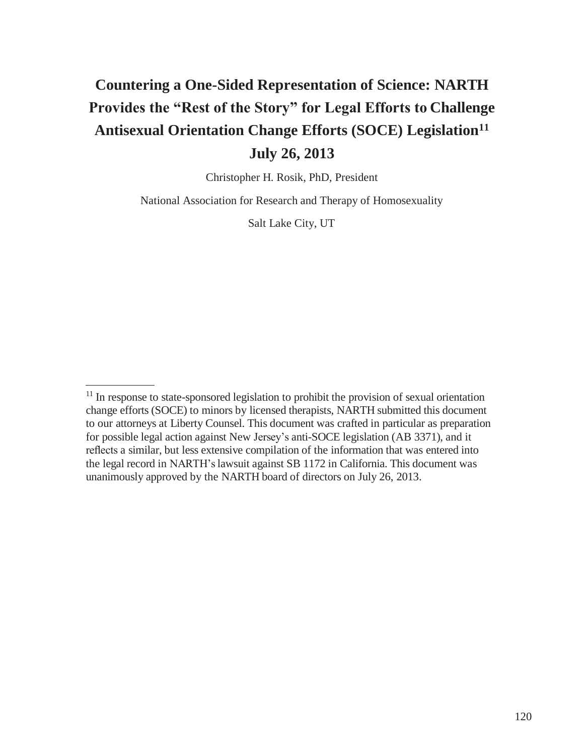# **Countering a One-Sided Representation of Science: NARTH Provides the "Rest of the Story" for Legal Efforts to Challenge Antisexual Orientation Change Efforts (SOCE) Legislation<sup>11</sup> July 26, 2013**

Christopher H. Rosik, PhD, President

National Association for Research and Therapy of Homosexuality

Salt Lake City, UT

<sup>&</sup>lt;sup>11</sup> In response to state-sponsored legislation to prohibit the provision of sexual orientation change efforts (SOCE) to minors by licensed therapists, NARTH submitted this document to our attorneys at Liberty Counsel. This document was crafted in particular as preparation for possible legal action against New Jersey's anti-SOCE legislation (AB 3371), and it reflects a similar, but less extensive compilation of the information that was entered into the legal record in NARTH's lawsuit against SB 1172 in California. This document was unanimously approved by the NARTH board of directors on July 26, 2013.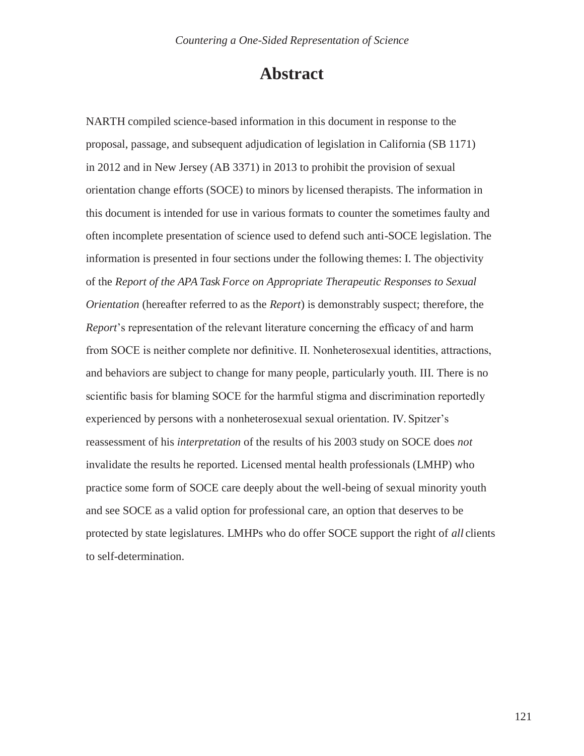## **Abstract**

NARTH compiled science-based information in this document in response to the proposal, passage, and subsequent adjudication of legislation in California (SB 1171) in 2012 and in New Jersey (AB 3371) in 2013 to prohibit the provision of sexual orientation change efforts (SOCE) to minors by licensed therapists. The information in this document is intended for use in various formats to counter the sometimes faulty and often incomplete presentation of science used to defend such anti-SOCE legislation. The information is presented in four sections under the following themes: I. The objectivity of the *Report of the APA Task Force on Appropriate Therapeutic Responses to Sexual Orientation* (hereafter referred to as the *Report*) is demonstrably suspect; therefore, the *Report*'s representation of the relevant literature concerning the efficacy of and harm from SOCE is neither complete nor definitive. II. Nonheterosexual identities, attractions, and behaviors are subject to change for many people, particularly youth. III. There is no scientific basis for blaming SOCE for the harmful stigma and discrimination reportedly experienced by persons with a nonheterosexual sexual orientation. IV. Spitzer's reassessment of his *interpretation* of the results of his 2003 study on SOCE does *not*  invalidate the results he reported. Licensed mental health professionals (LMHP) who practice some form of SOCE care deeply about the well-being of sexual minority youth and see SOCE as a valid option for professional care, an option that deserves to be protected by state legislatures. LMHPs who do offer SOCE support the right of *all* clients to self-determination.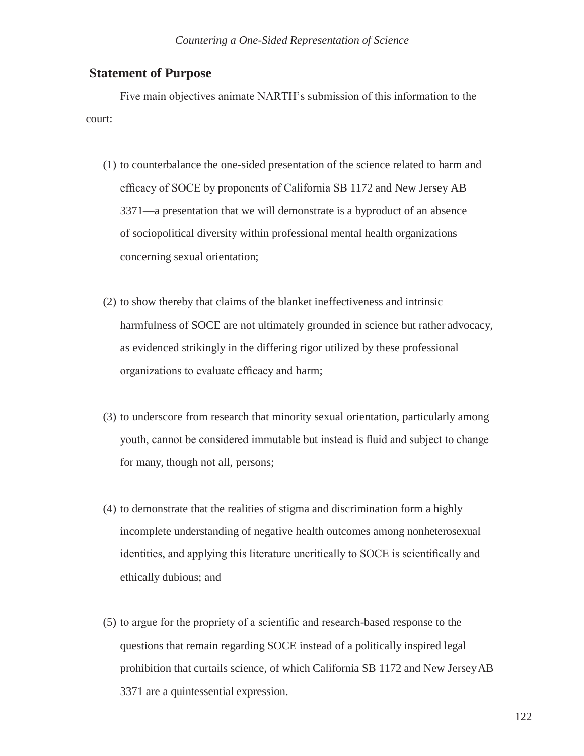## **Statement of Purpose**

Five main objectives animate NARTH's submission of this information to the court:

- (1) to counterbalance the one-sided presentation of the science related to harm and efficacy of SOCE by proponents of California SB 1172 and New Jersey AB 3371—a presentation that we will demonstrate is a byproduct of an absence of sociopolitical diversity within professional mental health organizations concerning sexual orientation;
- (2) to show thereby that claims of the blanket ineffectiveness and intrinsic harmfulness of SOCE are not ultimately grounded in science but rather advocacy, as evidenced strikingly in the differing rigor utilized by these professional organizations to evaluate efficacy and harm;
- (3) to underscore from research that minority sexual orientation, particularly among youth, cannot be considered immutable but instead is fluid and subject to change for many, though not all, persons;
- (4) to demonstrate that the realities of stigma and discrimination form a highly incomplete understanding of negative health outcomes among nonheterosexual identities, and applying this literature uncritically to SOCE is scientifically and ethically dubious; and
- (5) to argue for the propriety of a scientific and research-based response to the questions that remain regarding SOCE instead of a politically inspired legal prohibition that curtails science, of which California SB 1172 and New JerseyAB 3371 are a quintessential expression.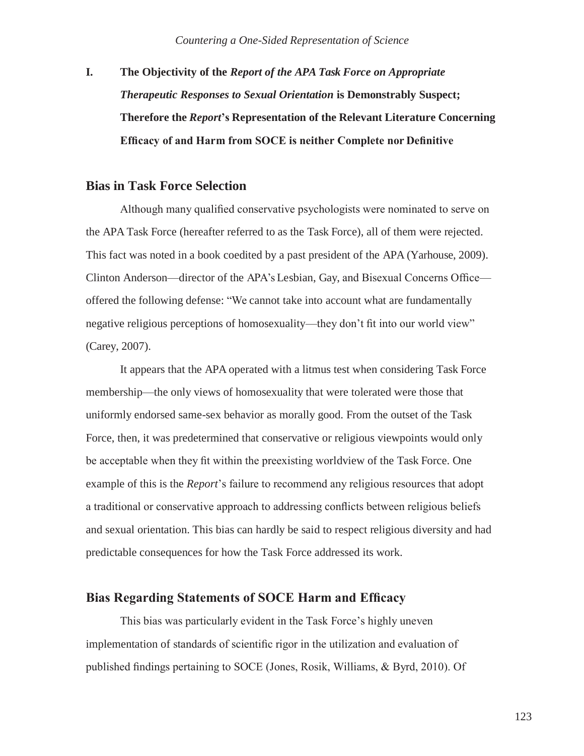**I. The Objectivity of the** *Report of the APA Task Force on Appropriate Therapeutic Responses to Sexual Orientation* **is Demonstrably Suspect; Therefore the** *Report***'s Representation of the Relevant Literature Concerning Efficacy of and Harm from SOCE is neither Complete nor Definitive**

## **Bias in Task Force Selection**

Although many qualified conservative psychologists were nominated to serve on the APA Task Force (hereafter referred to as the Task Force), all of them were rejected. This fact was noted in a book coedited by a past president of the APA (Yarhouse, 2009). Clinton Anderson—director of the APA's Lesbian, Gay, and Bisexual Concerns Office offered the following defense: "We cannot take into account what are fundamentally negative religious perceptions of homosexuality—they don't fit into our world view" (Carey, 2007).

It appears that the APA operated with a litmus test when considering Task Force membership—the only views of homosexuality that were tolerated were those that uniformly endorsed same-sex behavior as morally good. From the outset of the Task Force, then, it was predetermined that conservative or religious viewpoints would only be acceptable when they fit within the preexisting worldview of the Task Force. One example of this is the *Report*'s failure to recommend any religious resources that adopt a traditional or conservative approach to addressing conflicts between religious beliefs and sexual orientation. This bias can hardly be said to respect religious diversity and had predictable consequences for how the Task Force addressed its work.

## **Bias Regarding Statements of SOCE Harm and Efficacy**

This bias was particularly evident in the Task Force's highly uneven implementation of standards of scientific rigor in the utilization and evaluation of published findings pertaining to SOCE (Jones, Rosik, Williams, & Byrd, 2010). Of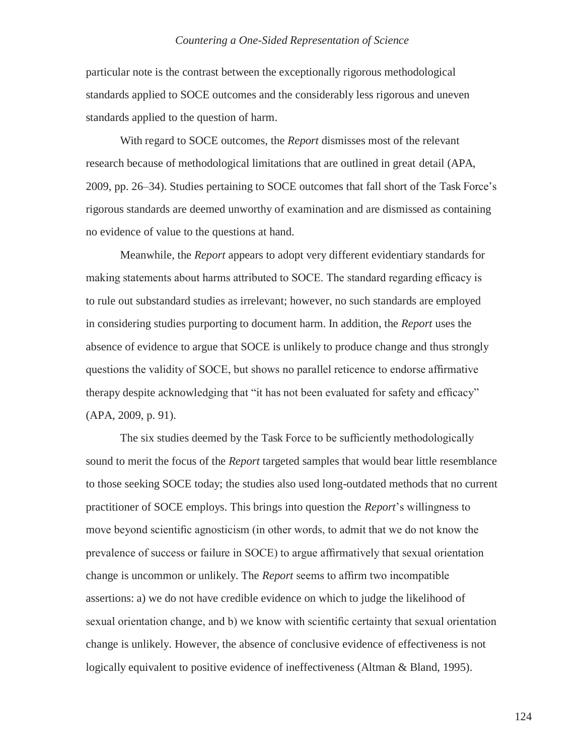particular note is the contrast between the exceptionally rigorous methodological standards applied to SOCE outcomes and the considerably less rigorous and uneven standards applied to the question of harm.

With regard to SOCE outcomes, the *Report* dismisses most of the relevant research because of methodological limitations that are outlined in great detail (APA, 2009, pp. 26–34). Studies pertaining to SOCE outcomes that fall short of the Task Force's rigorous standards are deemed unworthy of examination and are dismissed as containing no evidence of value to the questions at hand.

Meanwhile, the *Report* appears to adopt very different evidentiary standards for making statements about harms attributed to SOCE. The standard regarding efficacy is to rule out substandard studies as irrelevant; however, no such standards are employed in considering studies purporting to document harm. In addition, the *Report* uses the absence of evidence to argue that SOCE is unlikely to produce change and thus strongly questions the validity of SOCE, but shows no parallel reticence to endorse affirmative therapy despite acknowledging that "it has not been evaluated for safety and efficacy" (APA, 2009, p. 91).

The six studies deemed by the Task Force to be sufficiently methodologically sound to merit the focus of the *Report* targeted samples that would bear little resemblance to those seeking SOCE today; the studies also used long-outdated methods that no current practitioner of SOCE employs. This brings into question the *Report*'s willingness to move beyond scientific agnosticism (in other words, to admit that we do not know the prevalence of success or failure in SOCE) to argue affirmatively that sexual orientation change is uncommon or unlikely. The *Report* seems to affirm two incompatible assertions: a) we do not have credible evidence on which to judge the likelihood of sexual orientation change, and b) we know with scientific certainty that sexual orientation change is unlikely. However, the absence of conclusive evidence of effectiveness is not logically equivalent to positive evidence of ineffectiveness (Altman & Bland, 1995).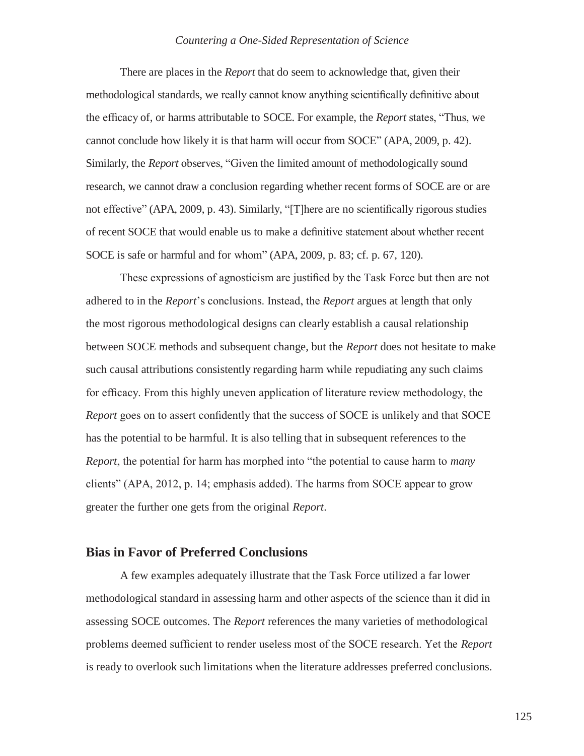There are places in the *Report* that do seem to acknowledge that, given their methodological standards, we really cannot know anything scientifically definitive about the efficacy of, or harms attributable to SOCE. For example, the *Report* states, "Thus, we cannot conclude how likely it is that harm will occur from SOCE" (APA, 2009, p. 42). Similarly, the *Report* observes, "Given the limited amount of methodologically sound research, we cannot draw a conclusion regarding whether recent forms of SOCE are or are not effective" (APA, 2009, p. 43). Similarly, "[T]here are no scientifically rigorous studies of recent SOCE that would enable us to make a definitive statement about whether recent SOCE is safe or harmful and for whom" (APA, 2009, p. 83; cf. p. 67, 120).

These expressions of agnosticism are justified by the Task Force but then are not adhered to in the *Report*'s conclusions. Instead, the *Report* argues at length that only the most rigorous methodological designs can clearly establish a causal relationship between SOCE methods and subsequent change, but the *Report* does not hesitate to make such causal attributions consistently regarding harm while repudiating any such claims for efficacy. From this highly uneven application of literature review methodology, the *Report* goes on to assert confidently that the success of SOCE is unlikely and that SOCE has the potential to be harmful. It is also telling that in subsequent references to the *Report*, the potential for harm has morphed into "the potential to cause harm to *many*  clients" (APA, 2012, p. 14; emphasis added). The harms from SOCE appear to grow greater the further one gets from the original *Report*.

## **Bias in Favor of Preferred Conclusions**

A few examples adequately illustrate that the Task Force utilized a far lower methodological standard in assessing harm and other aspects of the science than it did in assessing SOCE outcomes. The *Report* references the many varieties of methodological problems deemed sufficient to render useless most of the SOCE research. Yet the *Report*  is ready to overlook such limitations when the literature addresses preferred conclusions.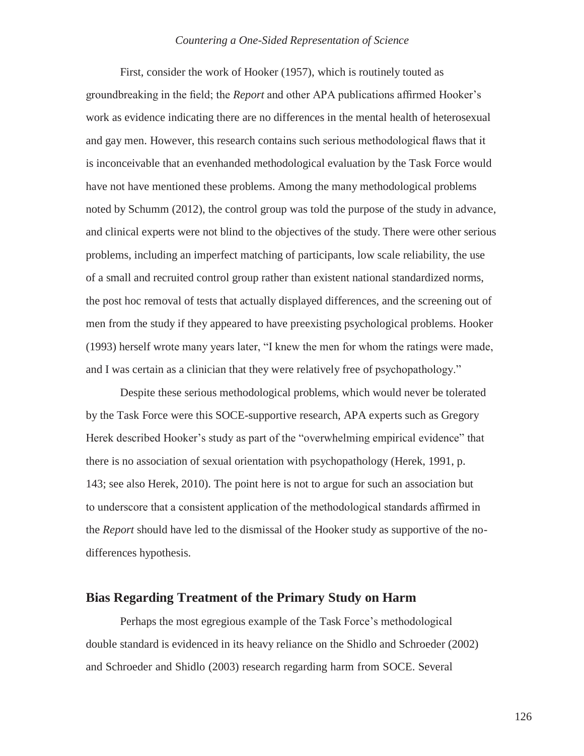First, consider the work of Hooker (1957), which is routinely touted as groundbreaking in the field; the *Report* and other APA publications affirmed Hooker's work as evidence indicating there are no differences in the mental health of heterosexual and gay men. However, this research contains such serious methodological flaws that it is inconceivable that an evenhanded methodological evaluation by the Task Force would have not have mentioned these problems. Among the many methodological problems noted by Schumm (2012), the control group was told the purpose of the study in advance, and clinical experts were not blind to the objectives of the study. There were other serious problems, including an imperfect matching of participants, low scale reliability, the use of a small and recruited control group rather than existent national standardized norms, the post hoc removal of tests that actually displayed differences, and the screening out of men from the study if they appeared to have preexisting psychological problems. Hooker (1993) herself wrote many years later, "I knew the men for whom the ratings were made, and I was certain as a clinician that they were relatively free of psychopathology."

Despite these serious methodological problems, which would never be tolerated by the Task Force were this SOCE-supportive research, APA experts such as Gregory Herek described Hooker's study as part of the "overwhelming empirical evidence" that there is no association of sexual orientation with psychopathology (Herek, 1991, p. 143; see also Herek, 2010). The point here is not to argue for such an association but to underscore that a consistent application of the methodological standards affirmed in the *Report* should have led to the dismissal of the Hooker study as supportive of the nodifferences hypothesis.

### **Bias Regarding Treatment of the Primary Study on Harm**

Perhaps the most egregious example of the Task Force's methodological double standard is evidenced in its heavy reliance on the Shidlo and Schroeder (2002) and Schroeder and Shidlo (2003) research regarding harm from SOCE. Several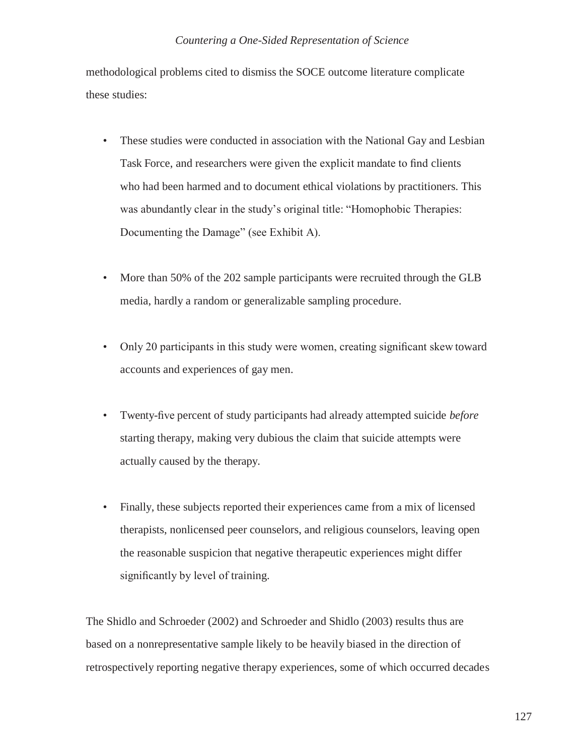methodological problems cited to dismiss the SOCE outcome literature complicate these studies:

- These studies were conducted in association with the National Gay and Lesbian Task Force, and researchers were given the explicit mandate to find clients who had been harmed and to document ethical violations by practitioners. This was abundantly clear in the study's original title: "Homophobic Therapies: Documenting the Damage" (see Exhibit A).
- More than 50% of the 202 sample participants were recruited through the GLB media, hardly a random or generalizable sampling procedure.
- Only 20 participants in this study were women, creating significant skew toward accounts and experiences of gay men.
- Twenty-five percent of study participants had already attempted suicide *before*  starting therapy, making very dubious the claim that suicide attempts were actually caused by the therapy.
- Finally, these subjects reported their experiences came from a mix of licensed therapists, nonlicensed peer counselors, and religious counselors, leaving open the reasonable suspicion that negative therapeutic experiences might differ significantly by level of training.

The Shidlo and Schroeder (2002) and Schroeder and Shidlo (2003) results thus are based on a nonrepresentative sample likely to be heavily biased in the direction of retrospectively reporting negative therapy experiences, some of which occurred decades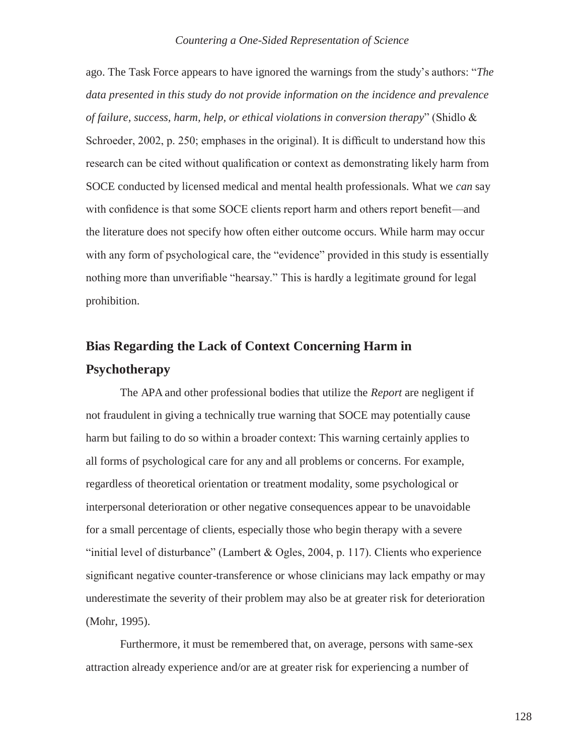ago. The Task Force appears to have ignored the warnings from the study's authors: "*The data presented in this study do not provide information on the incidence and prevalence of failure, success, harm, help, or ethical violations in conversion therapy*" (Shidlo & Schroeder, 2002, p. 250; emphases in the original). It is difficult to understand how this research can be cited without qualification or context as demonstrating likely harm from SOCE conducted by licensed medical and mental health professionals. What we *can* say with confidence is that some SOCE clients report harm and others report benefit—and the literature does not specify how often either outcome occurs. While harm may occur with any form of psychological care, the "evidence" provided in this study is essentially nothing more than unverifiable "hearsay." This is hardly a legitimate ground for legal prohibition.

## **Bias Regarding the Lack of Context Concerning Harm in Psychotherapy**

The APA and other professional bodies that utilize the *Report* are negligent if not fraudulent in giving a technically true warning that SOCE may potentially cause harm but failing to do so within a broader context: This warning certainly applies to all forms of psychological care for any and all problems or concerns. For example, regardless of theoretical orientation or treatment modality, some psychological or interpersonal deterioration or other negative consequences appear to be unavoidable for a small percentage of clients, especially those who begin therapy with a severe "initial level of disturbance" (Lambert & Ogles, 2004, p. 117). Clients who experience significant negative counter-transference or whose clinicians may lack empathy or may underestimate the severity of their problem may also be at greater risk for deterioration (Mohr, 1995).

Furthermore, it must be remembered that, on average, persons with same-sex attraction already experience and/or are at greater risk for experiencing a number of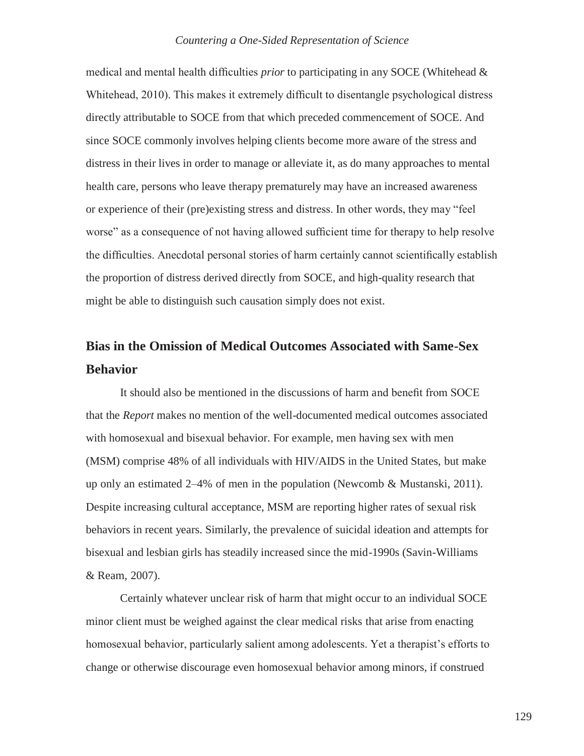medical and mental health difficulties *prior* to participating in any SOCE (Whitehead & Whitehead, 2010). This makes it extremely difficult to disentangle psychological distress directly attributable to SOCE from that which preceded commencement of SOCE. And since SOCE commonly involves helping clients become more aware of the stress and distress in their lives in order to manage or alleviate it, as do many approaches to mental health care, persons who leave therapy prematurely may have an increased awareness or experience of their (pre)existing stress and distress. In other words, they may "feel worse" as a consequence of not having allowed sufficient time for therapy to help resolve the difficulties. Anecdotal personal stories of harm certainly cannot scientifically establish the proportion of distress derived directly from SOCE, and high-quality research that might be able to distinguish such causation simply does not exist.

## **Bias in the Omission of Medical Outcomes Associated with Same-Sex Behavior**

It should also be mentioned in the discussions of harm and benefit from SOCE that the *Report* makes no mention of the well-documented medical outcomes associated with homosexual and bisexual behavior. For example, men having sex with men (MSM) comprise 48% of all individuals with HIV/AIDS in the United States, but make up only an estimated  $2-4\%$  of men in the population (Newcomb & Mustanski, 2011). Despite increasing cultural acceptance, MSM are reporting higher rates of sexual risk behaviors in recent years. Similarly, the prevalence of suicidal ideation and attempts for bisexual and lesbian girls has steadily increased since the mid-1990s (Savin-Williams & Ream, 2007).

Certainly whatever unclear risk of harm that might occur to an individual SOCE minor client must be weighed against the clear medical risks that arise from enacting homosexual behavior, particularly salient among adolescents. Yet a therapist's efforts to change or otherwise discourage even homosexual behavior among minors, if construed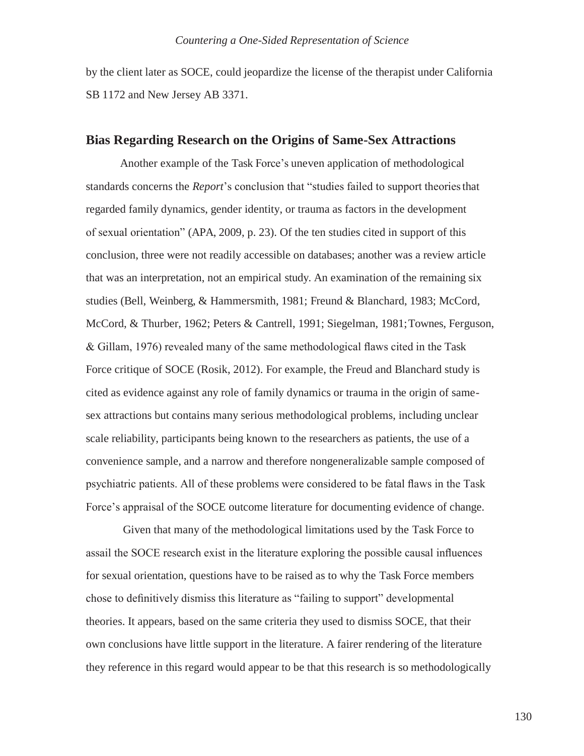by the client later as SOCE, could jeopardize the license of the therapist under California SB 1172 and New Jersey AB 3371.

### **Bias Regarding Research on the Origins of Same-Sex Attractions**

Another example of the Task Force's uneven application of methodological standards concerns the *Report*'s conclusion that "studies failed to support theoriesthat regarded family dynamics, gender identity, or trauma as factors in the development of sexual orientation" (APA, 2009, p. 23). Of the ten studies cited in support of this conclusion, three were not readily accessible on databases; another was a review article that was an interpretation, not an empirical study. An examination of the remaining six studies (Bell, Weinberg, & Hammersmith, 1981; Freund & Blanchard, 1983; McCord, McCord, & Thurber, 1962; Peters & Cantrell, 1991; Siegelman, 1981;Townes, Ferguson, & Gillam, 1976) revealed many of the same methodological flaws cited in the Task Force critique of SOCE (Rosik, 2012). For example, the Freud and Blanchard study is cited as evidence against any role of family dynamics or trauma in the origin of samesex attractions but contains many serious methodological problems, including unclear scale reliability, participants being known to the researchers as patients, the use of a convenience sample, and a narrow and therefore nongeneralizable sample composed of psychiatric patients. All of these problems were considered to be fatal flaws in the Task Force's appraisal of the SOCE outcome literature for documenting evidence of change.

Given that many of the methodological limitations used by the Task Force to assail the SOCE research exist in the literature exploring the possible causal influences for sexual orientation, questions have to be raised as to why the Task Force members chose to definitively dismiss this literature as "failing to support" developmental theories. It appears, based on the same criteria they used to dismiss SOCE, that their own conclusions have little support in the literature. A fairer rendering of the literature they reference in this regard would appear to be that this research is so methodologically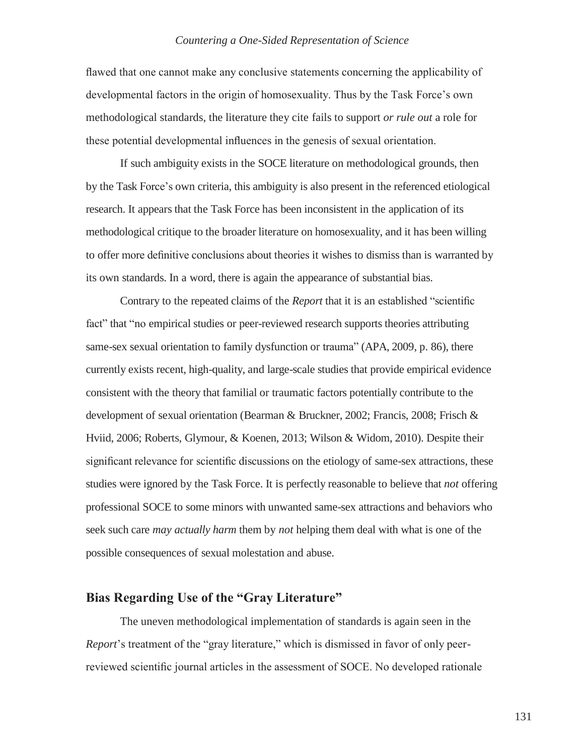flawed that one cannot make any conclusive statements concerning the applicability of developmental factors in the origin of homosexuality. Thus by the Task Force's own methodological standards, the literature they cite fails to support *or rule out* a role for these potential developmental influences in the genesis of sexual orientation.

If such ambiguity exists in the SOCE literature on methodological grounds, then by the Task Force's own criteria, this ambiguity is also present in the referenced etiological research. It appears that the Task Force has been inconsistent in the application of its methodological critique to the broader literature on homosexuality, and it has been willing to offer more definitive conclusions about theories it wishes to dismiss than is warranted by its own standards. In a word, there is again the appearance of substantial bias.

Contrary to the repeated claims of the *Report* that it is an established "scientific fact" that "no empirical studies or peer-reviewed research supports theories attributing same-sex sexual orientation to family dysfunction or trauma" (APA, 2009, p. 86), there currently exists recent, high-quality, and large-scale studies that provide empirical evidence consistent with the theory that familial or traumatic factors potentially contribute to the development of sexual orientation (Bearman & Bruckner, 2002; Francis, 2008; Frisch & Hviid, 2006; Roberts, Glymour, & Koenen, 2013; Wilson & Widom, 2010). Despite their significant relevance for scientific discussions on the etiology of same-sex attractions, these studies were ignored by the Task Force. It is perfectly reasonable to believe that *not* offering professional SOCE to some minors with unwanted same-sex attractions and behaviors who seek such care *may actually harm* them by *not* helping them deal with what is one of the possible consequences of sexual molestation and abuse.

## **Bias Regarding Use of the "Gray Literature"**

The uneven methodological implementation of standards is again seen in the *Report*'s treatment of the "gray literature," which is dismissed in favor of only peerreviewed scientific journal articles in the assessment of SOCE. No developed rationale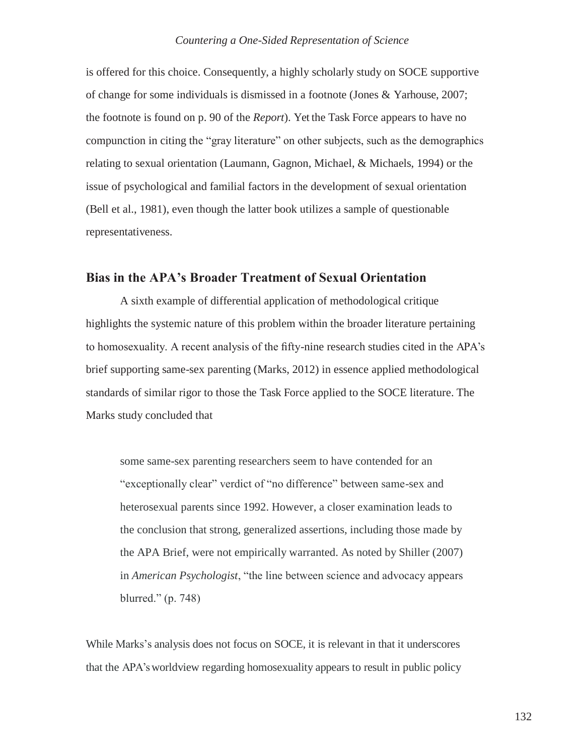is offered for this choice. Consequently, a highly scholarly study on SOCE supportive of change for some individuals is dismissed in a footnote (Jones & Yarhouse, 2007; the footnote is found on p. 90 of the *Report*). Yet the Task Force appears to have no compunction in citing the "gray literature" on other subjects, such as the demographics relating to sexual orientation (Laumann, Gagnon, Michael, & Michaels, 1994) or the issue of psychological and familial factors in the development of sexual orientation (Bell et al., 1981), even though the latter book utilizes a sample of questionable representativeness.

## **Bias in the APA's Broader Treatment of Sexual Orientation**

A sixth example of differential application of methodological critique highlights the systemic nature of this problem within the broader literature pertaining to homosexuality. A recent analysis of the fifty-nine research studies cited in the APA's brief supporting same-sex parenting (Marks, 2012) in essence applied methodological standards of similar rigor to those the Task Force applied to the SOCE literature. The Marks study concluded that

some same-sex parenting researchers seem to have contended for an "exceptionally clear" verdict of "no difference" between same-sex and heterosexual parents since 1992. However, a closer examination leads to the conclusion that strong, generalized assertions, including those made by the APA Brief, were not empirically warranted. As noted by Shiller (2007) in *American Psychologist*, "the line between science and advocacy appears blurred." (p. 748)

While Marks's analysis does not focus on SOCE, it is relevant in that it underscores that the APA's worldview regarding homosexuality appears to result in public policy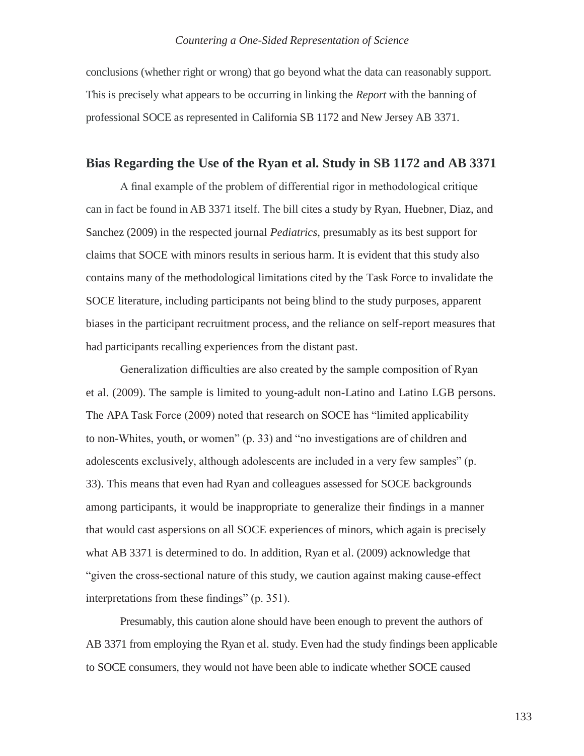conclusions (whether right or wrong) that go beyond what the data can reasonably support. This is precisely what appears to be occurring in linking the *Report* with the banning of professional SOCE as represented in California SB 1172 and New Jersey AB 3371.

### **Bias Regarding the Use of the Ryan et al. Study in SB 1172 and AB 3371**

A final example of the problem of differential rigor in methodological critique can in fact be found in AB 3371 itself. The bill cites a study by Ryan, Huebner, Diaz, and Sanchez (2009) in the respected journal *Pediatrics*, presumably as its best support for claims that SOCE with minors results in serious harm. It is evident that this study also contains many of the methodological limitations cited by the Task Force to invalidate the SOCE literature, including participants not being blind to the study purposes, apparent biases in the participant recruitment process, and the reliance on self-report measures that had participants recalling experiences from the distant past.

Generalization difficulties are also created by the sample composition of Ryan et al. (2009). The sample is limited to young-adult non-Latino and Latino LGB persons. The APA Task Force (2009) noted that research on SOCE has "limited applicability to non-Whites, youth, or women" (p. 33) and "no investigations are of children and adolescents exclusively, although adolescents are included in a very few samples" (p. 33). This means that even had Ryan and colleagues assessed for SOCE backgrounds among participants, it would be inappropriate to generalize their findings in a manner that would cast aspersions on all SOCE experiences of minors, which again is precisely what AB 3371 is determined to do. In addition, Ryan et al. (2009) acknowledge that "given the cross-sectional nature of this study, we caution against making cause-effect interpretations from these findings" (p. 351).

Presumably, this caution alone should have been enough to prevent the authors of AB 3371 from employing the Ryan et al. study. Even had the study findings been applicable to SOCE consumers, they would not have been able to indicate whether SOCE caused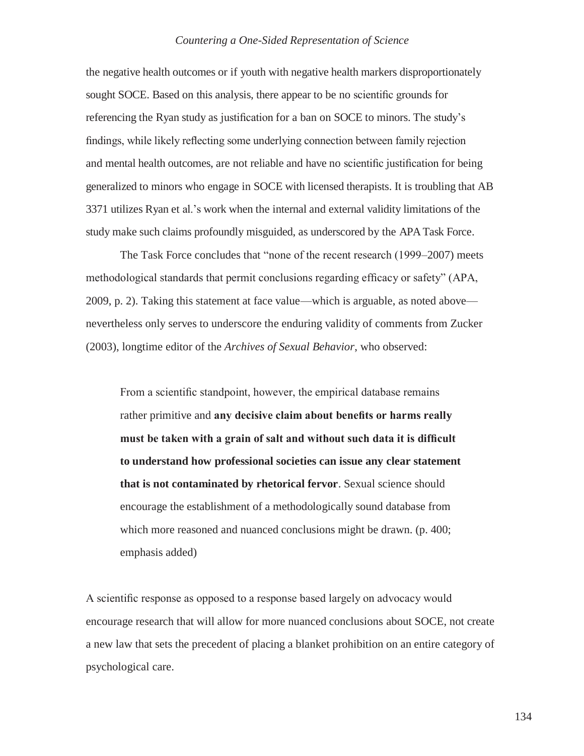the negative health outcomes or if youth with negative health markers disproportionately sought SOCE. Based on this analysis, there appear to be no scientific grounds for referencing the Ryan study as justification for a ban on SOCE to minors. The study's findings, while likely reflecting some underlying connection between family rejection and mental health outcomes, are not reliable and have no scientific justification for being generalized to minors who engage in SOCE with licensed therapists. It is troubling that AB 3371 utilizes Ryan et al.'s work when the internal and external validity limitations of the study make such claims profoundly misguided, as underscored by the APA Task Force.

The Task Force concludes that "none of the recent research (1999–2007) meets methodological standards that permit conclusions regarding efficacy or safety" (APA, 2009, p. 2). Taking this statement at face value—which is arguable, as noted above nevertheless only serves to underscore the enduring validity of comments from Zucker (2003), longtime editor of the *Archives of Sexual Behavior*, who observed:

From a scientific standpoint, however, the empirical database remains rather primitive and **any decisive claim about benefits or harms really must be taken with a grain of salt and without such data it is difficult to understand how professional societies can issue any clear statement that is not contaminated by rhetorical fervor**. Sexual science should encourage the establishment of a methodologically sound database from which more reasoned and nuanced conclusions might be drawn. (p. 400; emphasis added)

A scientific response as opposed to a response based largely on advocacy would encourage research that will allow for more nuanced conclusions about SOCE, not create a new law that sets the precedent of placing a blanket prohibition on an entire category of psychological care.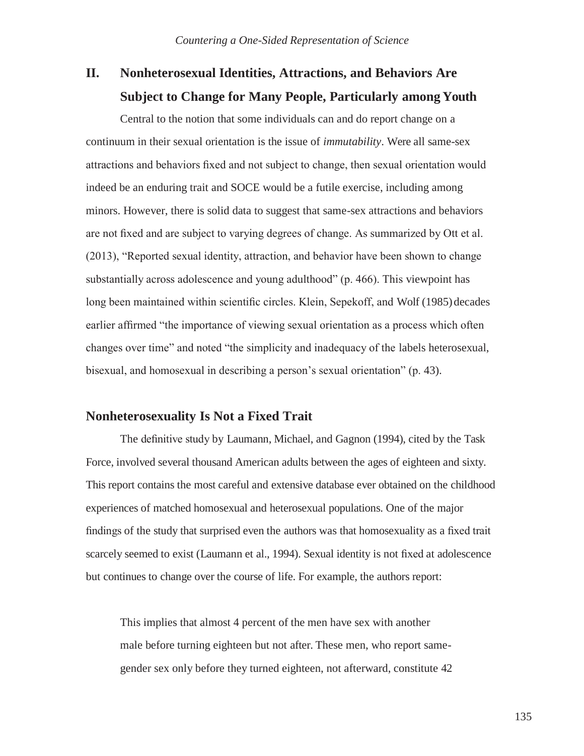## **II. Nonheterosexual Identities, Attractions, and Behaviors Are Subject to Change for Many People, Particularly among Youth**

Central to the notion that some individuals can and do report change on a continuum in their sexual orientation is the issue of *immutability*. Were all same-sex attractions and behaviors fixed and not subject to change, then sexual orientation would indeed be an enduring trait and SOCE would be a futile exercise, including among minors. However, there is solid data to suggest that same-sex attractions and behaviors are not fixed and are subject to varying degrees of change. As summarized by Ott et al. (2013), "Reported sexual identity, attraction, and behavior have been shown to change substantially across adolescence and young adulthood" (p. 466). This viewpoint has long been maintained within scientific circles. Klein, Sepekoff, and Wolf (1985) decades earlier affirmed "the importance of viewing sexual orientation as a process which often changes over time" and noted "the simplicity and inadequacy of the labels heterosexual, bisexual, and homosexual in describing a person's sexual orientation" (p. 43).

## **Nonheterosexuality Is Not a Fixed Trait**

The definitive study by Laumann, Michael, and Gagnon (1994), cited by the Task Force, involved several thousand American adults between the ages of eighteen and sixty. This report contains the most careful and extensive database ever obtained on the childhood experiences of matched homosexual and heterosexual populations. One of the major findings of the study that surprised even the authors was that homosexuality as a fixed trait scarcely seemed to exist (Laumann et al., 1994). Sexual identity is not fixed at adolescence but continues to change over the course of life. For example, the authors report:

This implies that almost 4 percent of the men have sex with another male before turning eighteen but not after. These men, who report samegender sex only before they turned eighteen, not afterward, constitute 42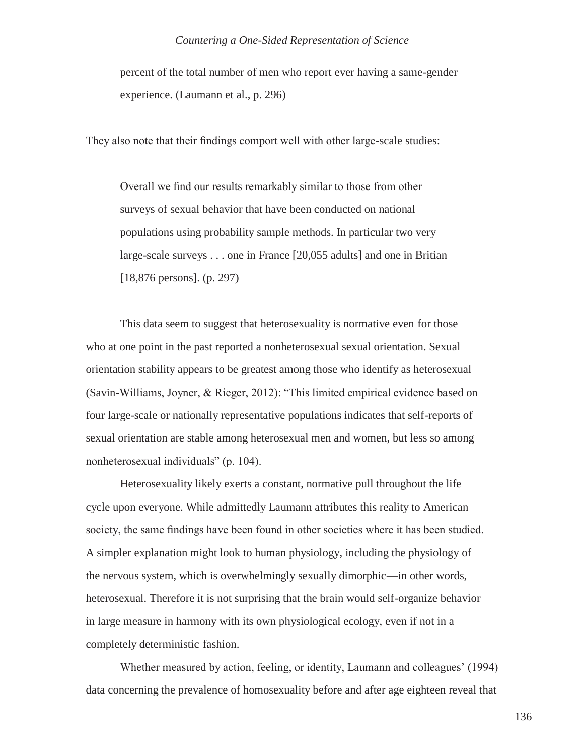percent of the total number of men who report ever having a same-gender experience. (Laumann et al., p. 296)

They also note that their findings comport well with other large-scale studies:

Overall we find our results remarkably similar to those from other surveys of sexual behavior that have been conducted on national populations using probability sample methods. In particular two very large-scale surveys . . . one in France [20,055 adults] and one in Britian [18,876 persons]. (p. 297)

This data seem to suggest that heterosexuality is normative even for those who at one point in the past reported a nonheterosexual sexual orientation. Sexual orientation stability appears to be greatest among those who identify as heterosexual (Savin-Williams, Joyner, & Rieger, 2012): "This limited empirical evidence based on four large-scale or nationally representative populations indicates that self-reports of sexual orientation are stable among heterosexual men and women, but less so among nonheterosexual individuals" (p. 104).

Heterosexuality likely exerts a constant, normative pull throughout the life cycle upon everyone. While admittedly Laumann attributes this reality to American society, the same findings have been found in other societies where it has been studied. A simpler explanation might look to human physiology, including the physiology of the nervous system, which is overwhelmingly sexually dimorphic—in other words, heterosexual. Therefore it is not surprising that the brain would self-organize behavior in large measure in harmony with its own physiological ecology, even if not in a completely deterministic fashion.

Whether measured by action, feeling, or identity, Laumann and colleagues' (1994) data concerning the prevalence of homosexuality before and after age eighteen reveal that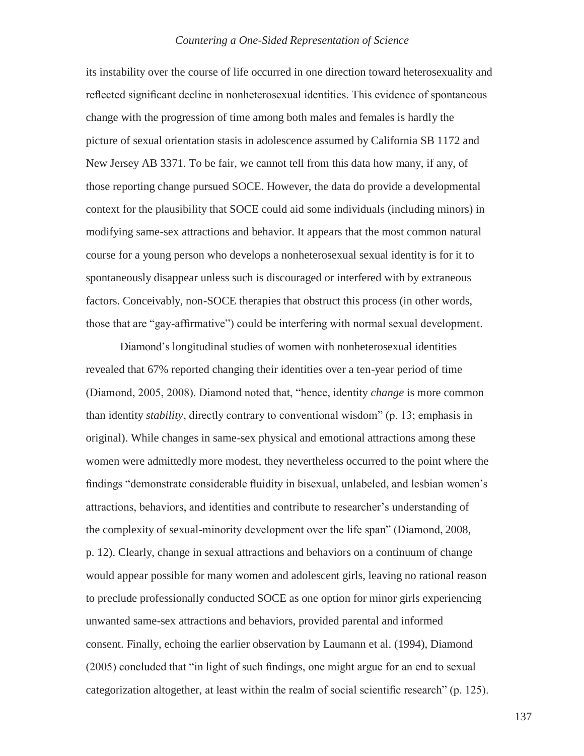its instability over the course of life occurred in one direction toward heterosexuality and reflected significant decline in nonheterosexual identities. This evidence of spontaneous change with the progression of time among both males and females is hardly the picture of sexual orientation stasis in adolescence assumed by California SB 1172 and New Jersey AB 3371. To be fair, we cannot tell from this data how many, if any, of those reporting change pursued SOCE. However, the data do provide a developmental context for the plausibility that SOCE could aid some individuals (including minors) in modifying same-sex attractions and behavior. It appears that the most common natural course for a young person who develops a nonheterosexual sexual identity is for it to spontaneously disappear unless such is discouraged or interfered with by extraneous factors. Conceivably, non-SOCE therapies that obstruct this process (in other words, those that are "gay-affirmative") could be interfering with normal sexual development.

Diamond's longitudinal studies of women with nonheterosexual identities revealed that 67% reported changing their identities over a ten-year period of time (Diamond, 2005, 2008). Diamond noted that, "hence, identity *change* is more common than identity *stability*, directly contrary to conventional wisdom" (p. 13; emphasis in original). While changes in same-sex physical and emotional attractions among these women were admittedly more modest, they nevertheless occurred to the point where the findings "demonstrate considerable fluidity in bisexual, unlabeled, and lesbian women's attractions, behaviors, and identities and contribute to researcher's understanding of the complexity of sexual-minority development over the life span" (Diamond, 2008, p. 12). Clearly, change in sexual attractions and behaviors on a continuum of change would appear possible for many women and adolescent girls, leaving no rational reason to preclude professionally conducted SOCE as one option for minor girls experiencing unwanted same-sex attractions and behaviors, provided parental and informed consent. Finally, echoing the earlier observation by Laumann et al. (1994), Diamond (2005) concluded that "in light of such findings, one might argue for an end to sexual categorization altogether, at least within the realm of social scientific research" (p. 125).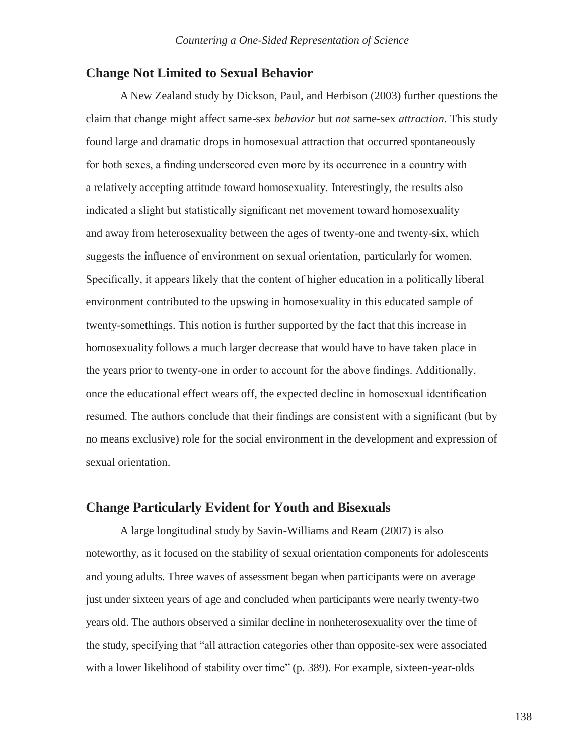## **Change Not Limited to Sexual Behavior**

A New Zealand study by Dickson, Paul, and Herbison (2003) further questions the claim that change might affect same-sex *behavior* but *not* same-sex *attraction*. This study found large and dramatic drops in homosexual attraction that occurred spontaneously for both sexes, a finding underscored even more by its occurrence in a country with a relatively accepting attitude toward homosexuality. Interestingly, the results also indicated a slight but statistically significant net movement toward homosexuality and away from heterosexuality between the ages of twenty-one and twenty-six, which suggests the influence of environment on sexual orientation, particularly for women. Specifically, it appears likely that the content of higher education in a politically liberal environment contributed to the upswing in homosexuality in this educated sample of twenty-somethings. This notion is further supported by the fact that this increase in homosexuality follows a much larger decrease that would have to have taken place in the years prior to twenty-one in order to account for the above findings. Additionally, once the educational effect wears off, the expected decline in homosexual identification resumed. The authors conclude that their findings are consistent with a significant (but by no means exclusive) role for the social environment in the development and expression of sexual orientation.

### **Change Particularly Evident for Youth and Bisexuals**

A large longitudinal study by Savin-Williams and Ream (2007) is also noteworthy, as it focused on the stability of sexual orientation components for adolescents and young adults. Three waves of assessment began when participants were on average just under sixteen years of age and concluded when participants were nearly twenty-two years old. The authors observed a similar decline in nonheterosexuality over the time of the study, specifying that "all attraction categories other than opposite-sex were associated with a lower likelihood of stability over time" (p. 389). For example, sixteen-year-olds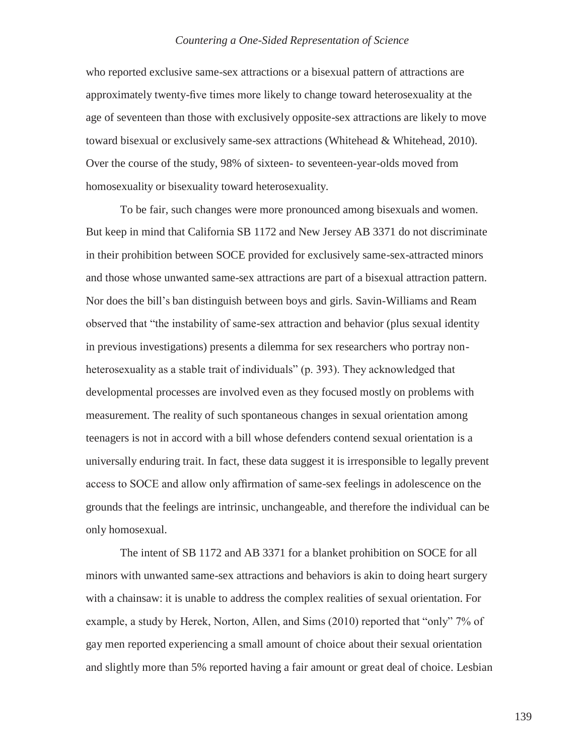who reported exclusive same-sex attractions or a bisexual pattern of attractions are approximately twenty-five times more likely to change toward heterosexuality at the age of seventeen than those with exclusively opposite-sex attractions are likely to move toward bisexual or exclusively same-sex attractions (Whitehead & Whitehead, 2010). Over the course of the study, 98% of sixteen- to seventeen-year-olds moved from homosexuality or bisexuality toward heterosexuality.

To be fair, such changes were more pronounced among bisexuals and women. But keep in mind that California SB 1172 and New Jersey AB 3371 do not discriminate in their prohibition between SOCE provided for exclusively same-sex-attracted minors and those whose unwanted same-sex attractions are part of a bisexual attraction pattern. Nor does the bill's ban distinguish between boys and girls. Savin-Williams and Ream observed that "the instability of same-sex attraction and behavior (plus sexual identity in previous investigations) presents a dilemma for sex researchers who portray nonheterosexuality as a stable trait of individuals" (p. 393). They acknowledged that developmental processes are involved even as they focused mostly on problems with measurement. The reality of such spontaneous changes in sexual orientation among teenagers is not in accord with a bill whose defenders contend sexual orientation is a universally enduring trait. In fact, these data suggest it is irresponsible to legally prevent access to SOCE and allow only affirmation of same-sex feelings in adolescence on the grounds that the feelings are intrinsic, unchangeable, and therefore the individual can be only homosexual.

The intent of SB 1172 and AB 3371 for a blanket prohibition on SOCE for all minors with unwanted same-sex attractions and behaviors is akin to doing heart surgery with a chainsaw: it is unable to address the complex realities of sexual orientation. For example, a study by Herek, Norton, Allen, and Sims (2010) reported that "only" 7% of gay men reported experiencing a small amount of choice about their sexual orientation and slightly more than 5% reported having a fair amount or great deal of choice. Lesbian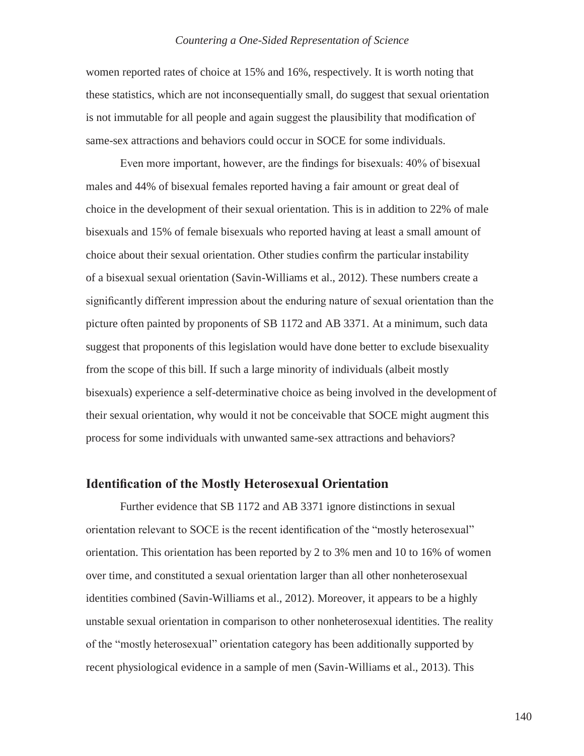women reported rates of choice at 15% and 16%, respectively. It is worth noting that these statistics, which are not inconsequentially small, do suggest that sexual orientation is not immutable for all people and again suggest the plausibility that modification of same-sex attractions and behaviors could occur in SOCE for some individuals.

Even more important, however, are the findings for bisexuals: 40% of bisexual males and 44% of bisexual females reported having a fair amount or great deal of choice in the development of their sexual orientation. This is in addition to 22% of male bisexuals and 15% of female bisexuals who reported having at least a small amount of choice about their sexual orientation. Other studies confirm the particular instability of a bisexual sexual orientation (Savin-Williams et al., 2012). These numbers create a significantly different impression about the enduring nature of sexual orientation than the picture often painted by proponents of SB 1172 and AB 3371. At a minimum, such data suggest that proponents of this legislation would have done better to exclude bisexuality from the scope of this bill. If such a large minority of individuals (albeit mostly bisexuals) experience a self-determinative choice as being involved in the development of their sexual orientation, why would it not be conceivable that SOCE might augment this process for some individuals with unwanted same-sex attractions and behaviors?

### **Identification of the Mostly Heterosexual Orientation**

Further evidence that SB 1172 and AB 3371 ignore distinctions in sexual orientation relevant to SOCE is the recent identification of the "mostly heterosexual" orientation. This orientation has been reported by 2 to 3% men and 10 to 16% of women over time, and constituted a sexual orientation larger than all other nonheterosexual identities combined (Savin-Williams et al., 2012). Moreover, it appears to be a highly unstable sexual orientation in comparison to other nonheterosexual identities. The reality of the "mostly heterosexual" orientation category has been additionally supported by recent physiological evidence in a sample of men (Savin-Williams et al., 2013). This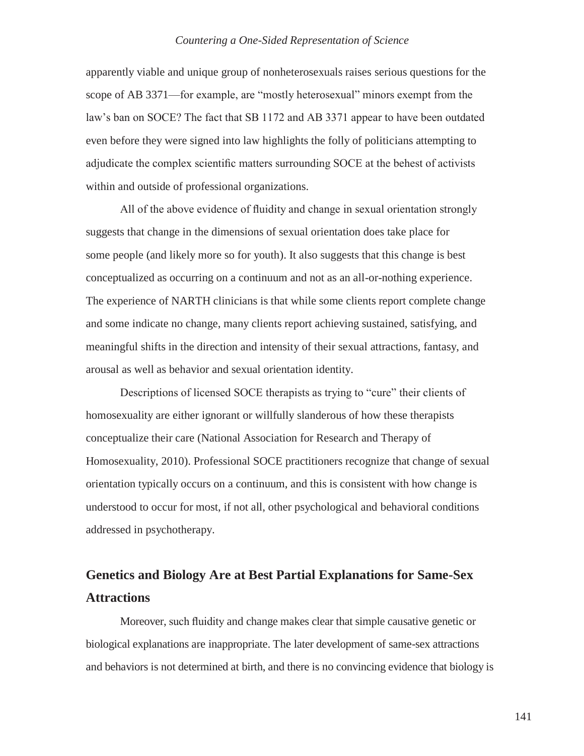apparently viable and unique group of nonheterosexuals raises serious questions for the scope of AB 3371—for example, are "mostly heterosexual" minors exempt from the law's ban on SOCE? The fact that SB 1172 and AB 3371 appear to have been outdated even before they were signed into law highlights the folly of politicians attempting to adjudicate the complex scientific matters surrounding SOCE at the behest of activists within and outside of professional organizations.

All of the above evidence of fluidity and change in sexual orientation strongly suggests that change in the dimensions of sexual orientation does take place for some people (and likely more so for youth). It also suggests that this change is best conceptualized as occurring on a continuum and not as an all-or-nothing experience. The experience of NARTH clinicians is that while some clients report complete change and some indicate no change, many clients report achieving sustained, satisfying, and meaningful shifts in the direction and intensity of their sexual attractions, fantasy, and arousal as well as behavior and sexual orientation identity.

Descriptions of licensed SOCE therapists as trying to "cure" their clients of homosexuality are either ignorant or willfully slanderous of how these therapists conceptualize their care (National Association for Research and Therapy of Homosexuality, 2010). Professional SOCE practitioners recognize that change of sexual orientation typically occurs on a continuum, and this is consistent with how change is understood to occur for most, if not all, other psychological and behavioral conditions addressed in psychotherapy.

## **Genetics and Biology Are at Best Partial Explanations for Same-Sex Attractions**

Moreover, such fluidity and change makes clear that simple causative genetic or biological explanations are inappropriate. The later development of same-sex attractions and behaviors is not determined at birth, and there is no convincing evidence that biology is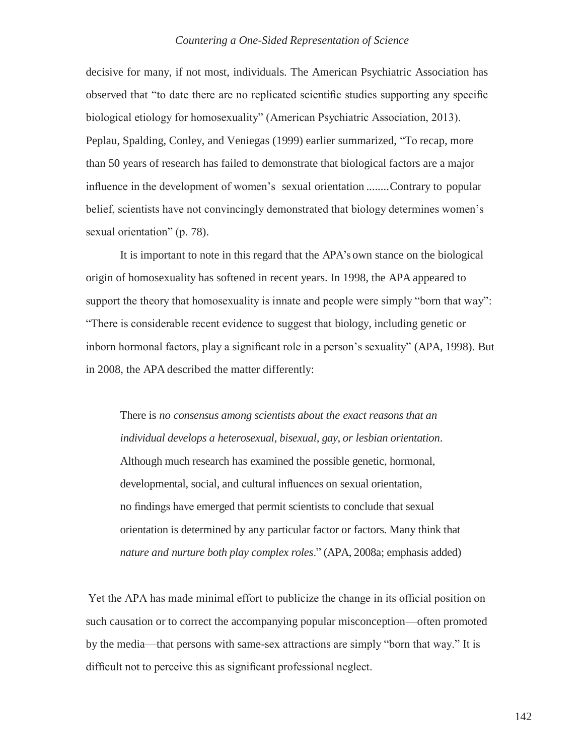decisive for many, if not most, individuals. The American Psychiatric Association has observed that "to date there are no replicated scientific studies supporting any specific biological etiology for homosexuality" (American Psychiatric Association, 2013). Peplau, Spalding, Conley, and Veniegas (1999) earlier summarized, "To recap, more than 50 years of research has failed to demonstrate that biological factors are a major influence in the development of women's sexual orientation ........Contrary to popular belief, scientists have not convincingly demonstrated that biology determines women's sexual orientation" (p. 78).

It is important to note in this regard that the APA's own stance on the biological origin of homosexuality has softened in recent years. In 1998, the APA appeared to support the theory that homosexuality is innate and people were simply "born that way": "There is considerable recent evidence to suggest that biology, including genetic or inborn hormonal factors, play a significant role in a person's sexuality" (APA, 1998). But in 2008, the APA described the matter differently:

There is *no consensus among scientists about the exact reasons that an individual develops a heterosexual, bisexual, gay, or lesbian orientation*. Although much research has examined the possible genetic, hormonal, developmental, social, and cultural influences on sexual orientation, no findings have emerged that permit scientists to conclude that sexual orientation is determined by any particular factor or factors. Many think that *nature and nurture both play complex roles*." (APA, 2008a; emphasis added)

Yet the APA has made minimal effort to publicize the change in its official position on such causation or to correct the accompanying popular misconception—often promoted by the media—that persons with same-sex attractions are simply "born that way." It is difficult not to perceive this as significant professional neglect.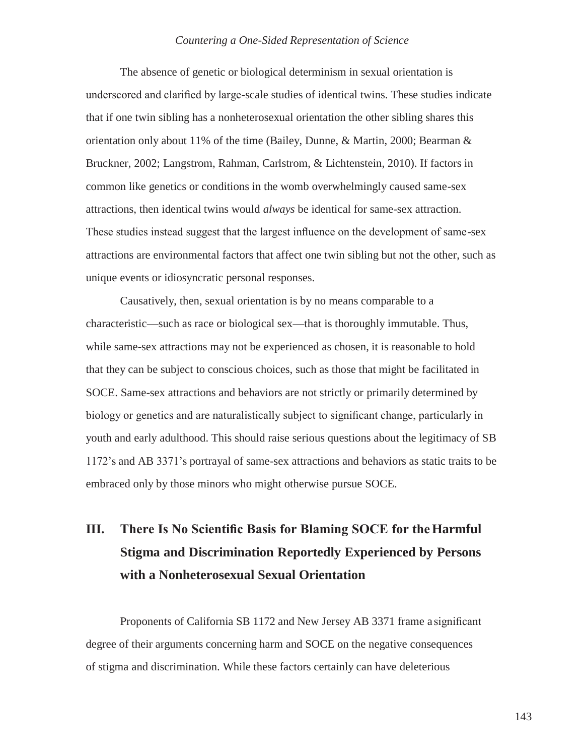The absence of genetic or biological determinism in sexual orientation is underscored and clarified by large-scale studies of identical twins. These studies indicate that if one twin sibling has a nonheterosexual orientation the other sibling shares this orientation only about 11% of the time (Bailey, Dunne, & Martin, 2000; Bearman & Bruckner, 2002; Langstrom, Rahman, Carlstrom, & Lichtenstein, 2010). If factors in common like genetics or conditions in the womb overwhelmingly caused same-sex attractions, then identical twins would *always* be identical for same-sex attraction. These studies instead suggest that the largest influence on the development of same-sex attractions are environmental factors that affect one twin sibling but not the other, such as unique events or idiosyncratic personal responses.

Causatively, then, sexual orientation is by no means comparable to a characteristic—such as race or biological sex—that is thoroughly immutable. Thus, while same-sex attractions may not be experienced as chosen, it is reasonable to hold that they can be subject to conscious choices, such as those that might be facilitated in SOCE. Same-sex attractions and behaviors are not strictly or primarily determined by biology or genetics and are naturalistically subject to significant change, particularly in youth and early adulthood. This should raise serious questions about the legitimacy of SB 1172's and AB 3371's portrayal of same-sex attractions and behaviors as static traits to be embraced only by those minors who might otherwise pursue SOCE.

# **III. There Is No Scientific Basis for Blaming SOCE for theHarmful Stigma and Discrimination Reportedly Experienced by Persons with a Nonheterosexual Sexual Orientation**

Proponents of California SB 1172 and New Jersey AB 3371 frame a significant degree of their arguments concerning harm and SOCE on the negative consequences of stigma and discrimination. While these factors certainly can have deleterious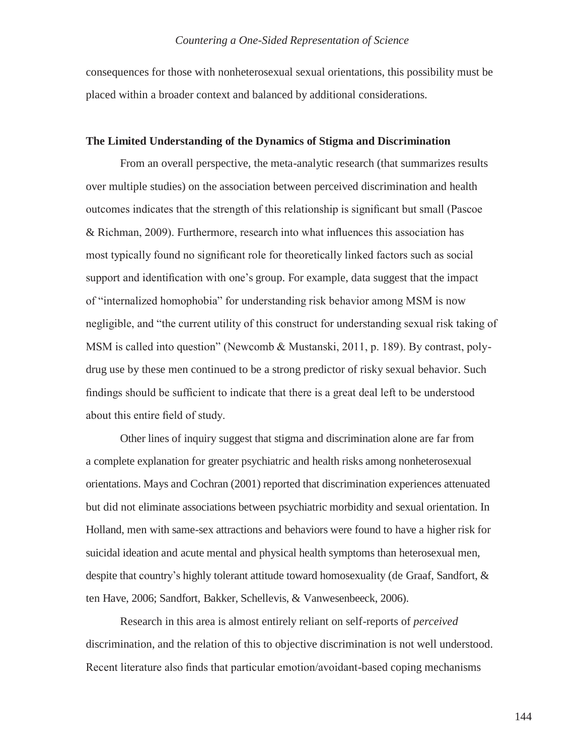consequences for those with nonheterosexual sexual orientations, this possibility must be placed within a broader context and balanced by additional considerations.

#### **The Limited Understanding of the Dynamics of Stigma and Discrimination**

From an overall perspective, the meta-analytic research (that summarizes results over multiple studies) on the association between perceived discrimination and health outcomes indicates that the strength of this relationship is significant but small (Pascoe & Richman, 2009). Furthermore, research into what influences this association has most typically found no significant role for theoretically linked factors such as social support and identification with one's group. For example, data suggest that the impact of "internalized homophobia" for understanding risk behavior among MSM is now negligible, and "the current utility of this construct for understanding sexual risk taking of MSM is called into question" (Newcomb & Mustanski, 2011, p. 189). By contrast, polydrug use by these men continued to be a strong predictor of risky sexual behavior. Such findings should be sufficient to indicate that there is a great deal left to be understood about this entire field of study.

Other lines of inquiry suggest that stigma and discrimination alone are far from a complete explanation for greater psychiatric and health risks among nonheterosexual orientations. Mays and Cochran (2001) reported that discrimination experiences attenuated but did not eliminate associations between psychiatric morbidity and sexual orientation. In Holland, men with same-sex attractions and behaviors were found to have a higher risk for suicidal ideation and acute mental and physical health symptoms than heterosexual men, despite that country's highly tolerant attitude toward homosexuality (de Graaf, Sandfort, & ten Have, 2006; Sandfort, Bakker, Schellevis, & Vanwesenbeeck, 2006).

Research in this area is almost entirely reliant on self-reports of *perceived*  discrimination, and the relation of this to objective discrimination is not well understood. Recent literature also finds that particular emotion/avoidant-based coping mechanisms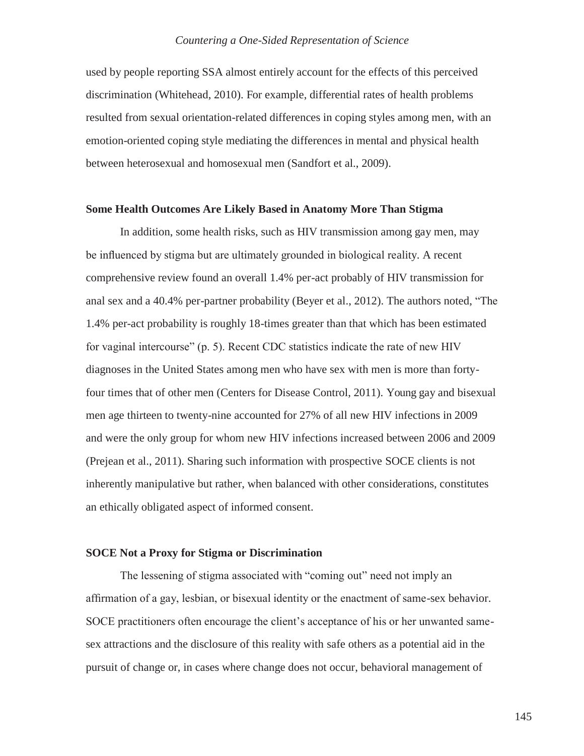used by people reporting SSA almost entirely account for the effects of this perceived discrimination (Whitehead, 2010). For example, differential rates of health problems resulted from sexual orientation-related differences in coping styles among men, with an emotion-oriented coping style mediating the differences in mental and physical health between heterosexual and homosexual men (Sandfort et al., 2009).

#### **Some Health Outcomes Are Likely Based in Anatomy More Than Stigma**

In addition, some health risks, such as HIV transmission among gay men, may be influenced by stigma but are ultimately grounded in biological reality. A recent comprehensive review found an overall 1.4% per-act probably of HIV transmission for anal sex and a 40.4% per-partner probability (Beyer et al., 2012). The authors noted, "The 1.4% per-act probability is roughly 18-times greater than that which has been estimated for vaginal intercourse" (p. 5). Recent CDC statistics indicate the rate of new HIV diagnoses in the United States among men who have sex with men is more than fortyfour times that of other men (Centers for Disease Control, 2011). Young gay and bisexual men age thirteen to twenty-nine accounted for 27% of all new HIV infections in 2009 and were the only group for whom new HIV infections increased between 2006 and 2009 (Prejean et al., 2011). Sharing such information with prospective SOCE clients is not inherently manipulative but rather, when balanced with other considerations, constitutes an ethically obligated aspect of informed consent.

### **SOCE Not a Proxy for Stigma or Discrimination**

The lessening of stigma associated with "coming out" need not imply an affirmation of a gay, lesbian, or bisexual identity or the enactment of same-sex behavior. SOCE practitioners often encourage the client's acceptance of his or her unwanted samesex attractions and the disclosure of this reality with safe others as a potential aid in the pursuit of change or, in cases where change does not occur, behavioral management of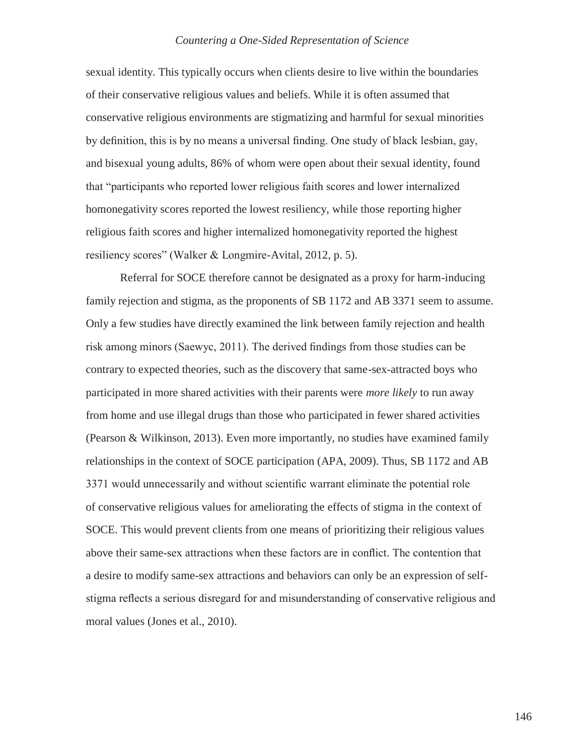sexual identity. This typically occurs when clients desire to live within the boundaries of their conservative religious values and beliefs. While it is often assumed that conservative religious environments are stigmatizing and harmful for sexual minorities by definition, this is by no means a universal finding. One study of black lesbian, gay, and bisexual young adults, 86% of whom were open about their sexual identity, found that "participants who reported lower religious faith scores and lower internalized homonegativity scores reported the lowest resiliency, while those reporting higher religious faith scores and higher internalized homonegativity reported the highest resiliency scores" (Walker & Longmire-Avital, 2012, p. 5).

Referral for SOCE therefore cannot be designated as a proxy for harm-inducing family rejection and stigma, as the proponents of SB 1172 and AB 3371 seem to assume. Only a few studies have directly examined the link between family rejection and health risk among minors (Saewyc, 2011). The derived findings from those studies can be contrary to expected theories, such as the discovery that same-sex-attracted boys who participated in more shared activities with their parents were *more likely* to run away from home and use illegal drugs than those who participated in fewer shared activities (Pearson & Wilkinson, 2013). Even more importantly, no studies have examined family relationships in the context of SOCE participation (APA, 2009). Thus, SB 1172 and AB 3371 would unnecessarily and without scientific warrant eliminate the potential role of conservative religious values for ameliorating the effects of stigma in the context of SOCE. This would prevent clients from one means of prioritizing their religious values above their same-sex attractions when these factors are in conflict. The contention that a desire to modify same-sex attractions and behaviors can only be an expression of selfstigma reflects a serious disregard for and misunderstanding of conservative religious and moral values (Jones et al., 2010).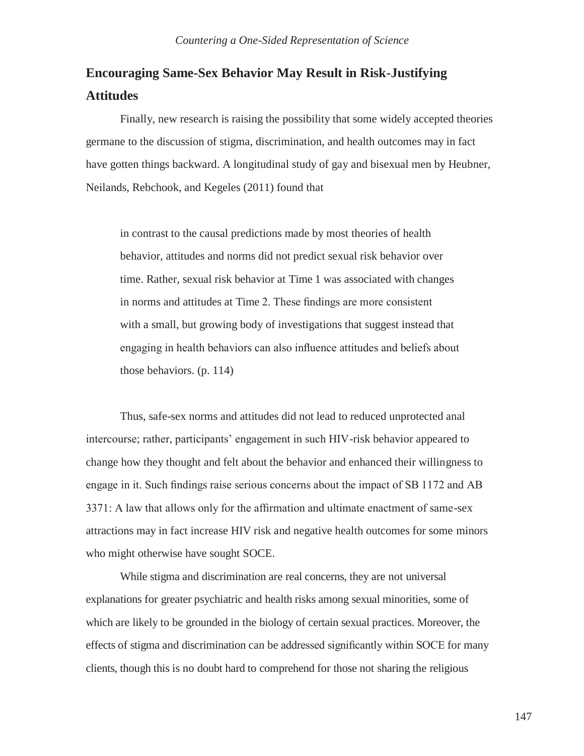## **Encouraging Same-Sex Behavior May Result in Risk-Justifying Attitudes**

Finally, new research is raising the possibility that some widely accepted theories germane to the discussion of stigma, discrimination, and health outcomes may in fact have gotten things backward. A longitudinal study of gay and bisexual men by Heubner, Neilands, Rebchook, and Kegeles (2011) found that

in contrast to the causal predictions made by most theories of health behavior, attitudes and norms did not predict sexual risk behavior over time. Rather, sexual risk behavior at Time 1 was associated with changes in norms and attitudes at Time 2. These findings are more consistent with a small, but growing body of investigations that suggest instead that engaging in health behaviors can also influence attitudes and beliefs about those behaviors. (p. 114)

Thus, safe-sex norms and attitudes did not lead to reduced unprotected anal intercourse; rather, participants' engagement in such HIV-risk behavior appeared to change how they thought and felt about the behavior and enhanced their willingness to engage in it. Such findings raise serious concerns about the impact of SB 1172 and AB 3371: A law that allows only for the affirmation and ultimate enactment of same-sex attractions may in fact increase HIV risk and negative health outcomes for some minors who might otherwise have sought SOCE.

While stigma and discrimination are real concerns, they are not universal explanations for greater psychiatric and health risks among sexual minorities, some of which are likely to be grounded in the biology of certain sexual practices. Moreover, the effects of stigma and discrimination can be addressed significantly within SOCE for many clients, though this is no doubt hard to comprehend for those not sharing the religious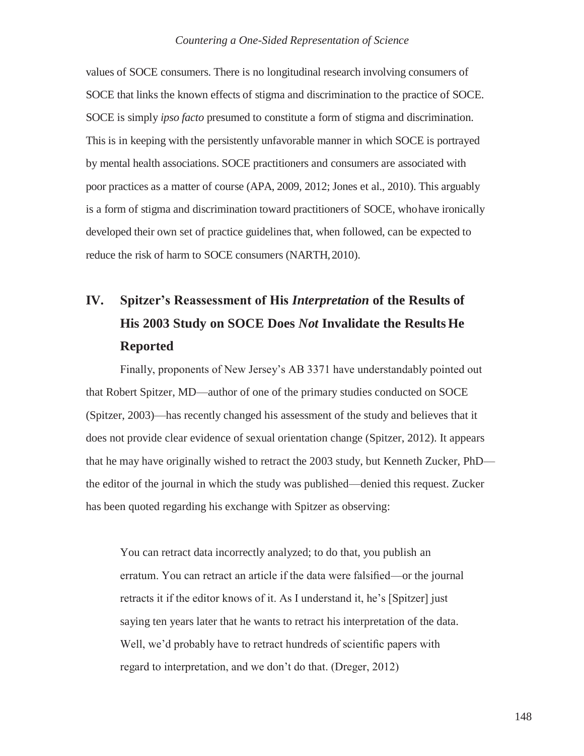values of SOCE consumers. There is no longitudinal research involving consumers of SOCE that links the known effects of stigma and discrimination to the practice of SOCE. SOCE is simply *ipso facto* presumed to constitute a form of stigma and discrimination. This is in keeping with the persistently unfavorable manner in which SOCE is portrayed by mental health associations. SOCE practitioners and consumers are associated with poor practices as a matter of course (APA, 2009, 2012; Jones et al., 2010). This arguably is a form of stigma and discrimination toward practitioners of SOCE, whohave ironically developed their own set of practice guidelines that, when followed, can be expected to reduce the risk of harm to SOCE consumers (NARTH, 2010).

# **IV. Spitzer's Reassessment of His** *Interpretation* **of the Results of His 2003 Study on SOCE Does** *Not* **Invalidate the Results He Reported**

Finally, proponents of New Jersey's AB 3371 have understandably pointed out that Robert Spitzer, MD—author of one of the primary studies conducted on SOCE (Spitzer, 2003)—has recently changed his assessment of the study and believes that it does not provide clear evidence of sexual orientation change (Spitzer, 2012). It appears that he may have originally wished to retract the 2003 study, but Kenneth Zucker, PhD the editor of the journal in which the study was published—denied this request. Zucker has been quoted regarding his exchange with Spitzer as observing:

You can retract data incorrectly analyzed; to do that, you publish an erratum. You can retract an article if the data were falsified—or the journal retracts it if the editor knows of it. As I understand it, he's [Spitzer] just saying ten years later that he wants to retract his interpretation of the data. Well, we'd probably have to retract hundreds of scientific papers with regard to interpretation, and we don't do that. (Dreger, 2012)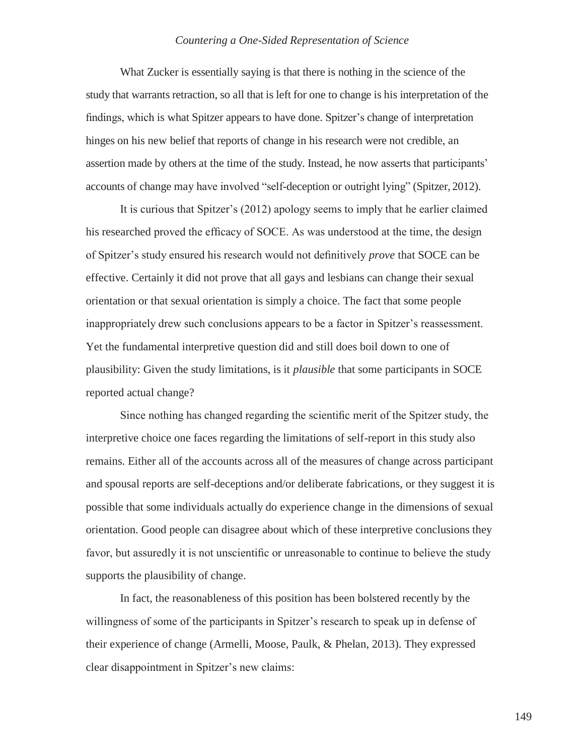What Zucker is essentially saying is that there is nothing in the science of the study that warrants retraction, so all that is left for one to change is his interpretation of the findings, which is what Spitzer appears to have done. Spitzer's change of interpretation hinges on his new belief that reports of change in his research were not credible, an assertion made by others at the time of the study. Instead, he now asserts that participants' accounts of change may have involved "self-deception or outright lying" (Spitzer, 2012).

It is curious that Spitzer's (2012) apology seems to imply that he earlier claimed his researched proved the efficacy of SOCE. As was understood at the time, the design of Spitzer's study ensured his research would not definitively *prove* that SOCE can be effective. Certainly it did not prove that all gays and lesbians can change their sexual orientation or that sexual orientation is simply a choice. The fact that some people inappropriately drew such conclusions appears to be a factor in Spitzer's reassessment. Yet the fundamental interpretive question did and still does boil down to one of plausibility: Given the study limitations, is it *plausible* that some participants in SOCE reported actual change?

Since nothing has changed regarding the scientific merit of the Spitzer study, the interpretive choice one faces regarding the limitations of self-report in this study also remains. Either all of the accounts across all of the measures of change across participant and spousal reports are self-deceptions and/or deliberate fabrications, or they suggest it is possible that some individuals actually do experience change in the dimensions of sexual orientation. Good people can disagree about which of these interpretive conclusions they favor, but assuredly it is not unscientific or unreasonable to continue to believe the study supports the plausibility of change.

In fact, the reasonableness of this position has been bolstered recently by the willingness of some of the participants in Spitzer's research to speak up in defense of their experience of change (Armelli, Moose, Paulk, & Phelan, 2013). They expressed clear disappointment in Spitzer's new claims: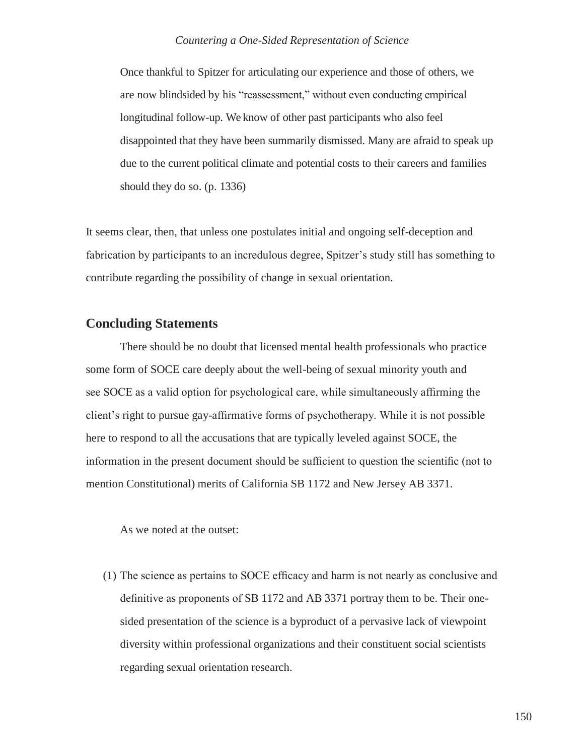Once thankful to Spitzer for articulating our experience and those of others, we are now blindsided by his "reassessment," without even conducting empirical longitudinal follow-up. We know of other past participants who also feel disappointed that they have been summarily dismissed. Many are afraid to speak up due to the current political climate and potential costs to their careers and families should they do so. (p. 1336)

It seems clear, then, that unless one postulates initial and ongoing self-deception and fabrication by participants to an incredulous degree, Spitzer's study still has something to contribute regarding the possibility of change in sexual orientation.

## **Concluding Statements**

There should be no doubt that licensed mental health professionals who practice some form of SOCE care deeply about the well-being of sexual minority youth and see SOCE as a valid option for psychological care, while simultaneously affirming the client's right to pursue gay-affirmative forms of psychotherapy. While it is not possible here to respond to all the accusations that are typically leveled against SOCE, the information in the present document should be sufficient to question the scientific (not to mention Constitutional) merits of California SB 1172 and New Jersey AB 3371.

As we noted at the outset:

(1) The science as pertains to SOCE efficacy and harm is not nearly as conclusive and definitive as proponents of SB 1172 and AB 3371 portray them to be. Their onesided presentation of the science is a byproduct of a pervasive lack of viewpoint diversity within professional organizations and their constituent social scientists regarding sexual orientation research.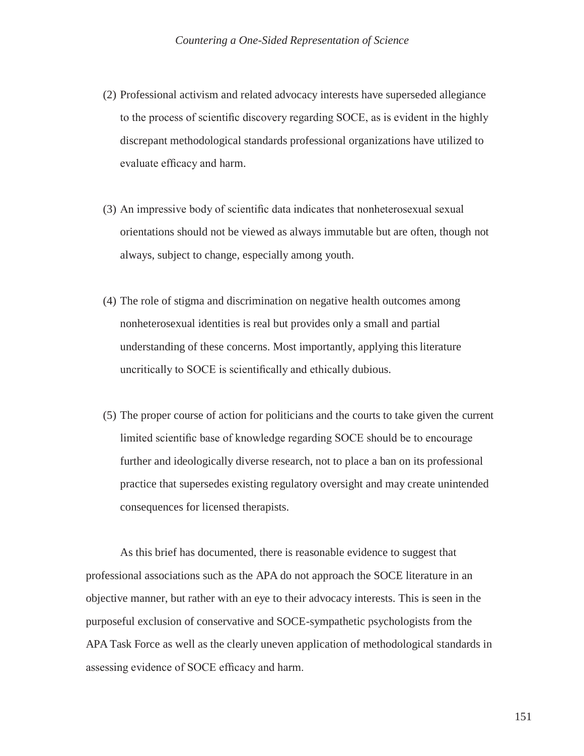- (2) Professional activism and related advocacy interests have superseded allegiance to the process of scientific discovery regarding SOCE, as is evident in the highly discrepant methodological standards professional organizations have utilized to evaluate efficacy and harm.
- (3) An impressive body of scientific data indicates that nonheterosexual sexual orientations should not be viewed as always immutable but are often, though not always, subject to change, especially among youth.
- (4) The role of stigma and discrimination on negative health outcomes among nonheterosexual identities is real but provides only a small and partial understanding of these concerns. Most importantly, applying this literature uncritically to SOCE is scientifically and ethically dubious.
- (5) The proper course of action for politicians and the courts to take given the current limited scientific base of knowledge regarding SOCE should be to encourage further and ideologically diverse research, not to place a ban on its professional practice that supersedes existing regulatory oversight and may create unintended consequences for licensed therapists.

As this brief has documented, there is reasonable evidence to suggest that professional associations such as the APA do not approach the SOCE literature in an objective manner, but rather with an eye to their advocacy interests. This is seen in the purposeful exclusion of conservative and SOCE-sympathetic psychologists from the APA Task Force as well as the clearly uneven application of methodological standards in assessing evidence of SOCE efficacy and harm.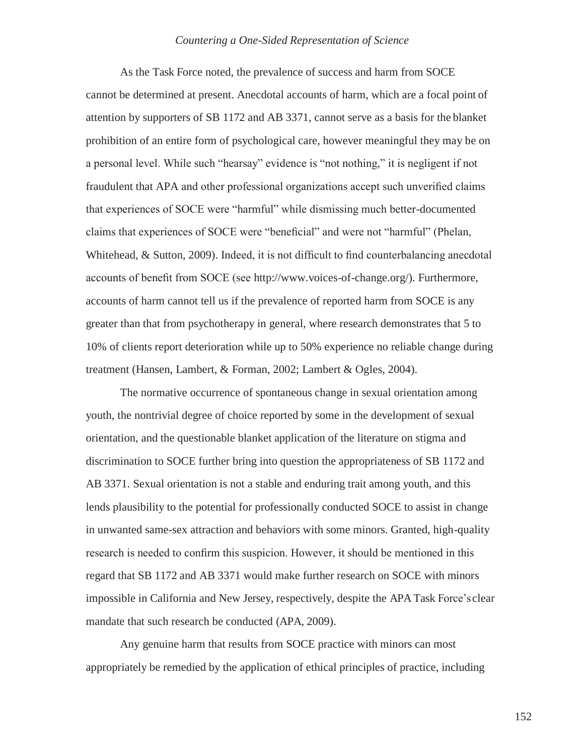As the Task Force noted, the prevalence of success and harm from SOCE cannot be determined at present. Anecdotal accounts of harm, which are a focal point of attention by supporters of SB 1172 and AB 3371, cannot serve as a basis for the blanket prohibition of an entire form of psychological care, however meaningful they may be on a personal level. While such "hearsay" evidence is "not nothing," it is negligent if not fraudulent that APA and other professional organizations accept such unverified claims that experiences of SOCE were "harmful" while dismissing much better-documented claims that experiences of SOCE were "beneficial" and were not "harmful" (Phelan, Whitehead, & Sutton, 2009). Indeed, it is not difficult to find counterbalancing anecdotal accounts of benefit from SOCE (see [http://www.voices-of-change.org/\).](http://www.voices-of-change.org/)) Furthermore, accounts of harm cannot tell us if the prevalence of reported harm from SOCE is any greater than that from psychotherapy in general, where research demonstrates that 5 to 10% of clients report deterioration while up to 50% experience no reliable change during treatment (Hansen, Lambert, & Forman, 2002; Lambert & Ogles, 2004).

The normative occurrence of spontaneous change in sexual orientation among youth, the nontrivial degree of choice reported by some in the development of sexual orientation, and the questionable blanket application of the literature on stigma and discrimination to SOCE further bring into question the appropriateness of SB 1172 and AB 3371. Sexual orientation is not a stable and enduring trait among youth, and this lends plausibility to the potential for professionally conducted SOCE to assist in change in unwanted same-sex attraction and behaviors with some minors. Granted, high-quality research is needed to confirm this suspicion. However, it should be mentioned in this regard that SB 1172 and AB 3371 would make further research on SOCE with minors impossible in California and New Jersey, respectively, despite the APA Task Force'sclear mandate that such research be conducted (APA, 2009).

Any genuine harm that results from SOCE practice with minors can most appropriately be remedied by the application of ethical principles of practice, including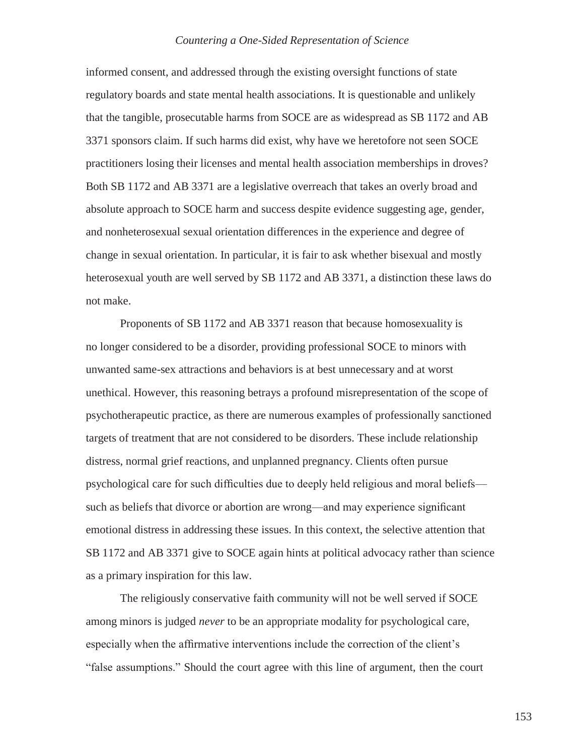informed consent, and addressed through the existing oversight functions of state regulatory boards and state mental health associations. It is questionable and unlikely that the tangible, prosecutable harms from SOCE are as widespread as SB 1172 and AB 3371 sponsors claim. If such harms did exist, why have we heretofore not seen SOCE practitioners losing their licenses and mental health association memberships in droves? Both SB 1172 and AB 3371 are a legislative overreach that takes an overly broad and absolute approach to SOCE harm and success despite evidence suggesting age, gender, and nonheterosexual sexual orientation differences in the experience and degree of change in sexual orientation. In particular, it is fair to ask whether bisexual and mostly heterosexual youth are well served by SB 1172 and AB 3371, a distinction these laws do not make.

Proponents of SB 1172 and AB 3371 reason that because homosexuality is no longer considered to be a disorder, providing professional SOCE to minors with unwanted same-sex attractions and behaviors is at best unnecessary and at worst unethical. However, this reasoning betrays a profound misrepresentation of the scope of psychotherapeutic practice, as there are numerous examples of professionally sanctioned targets of treatment that are not considered to be disorders. These include relationship distress, normal grief reactions, and unplanned pregnancy. Clients often pursue psychological care for such difficulties due to deeply held religious and moral beliefs such as beliefs that divorce or abortion are wrong—and may experience significant emotional distress in addressing these issues. In this context, the selective attention that SB 1172 and AB 3371 give to SOCE again hints at political advocacy rather than science as a primary inspiration for this law.

The religiously conservative faith community will not be well served if SOCE among minors is judged *never* to be an appropriate modality for psychological care, especially when the affirmative interventions include the correction of the client's "false assumptions." Should the court agree with this line of argument, then the court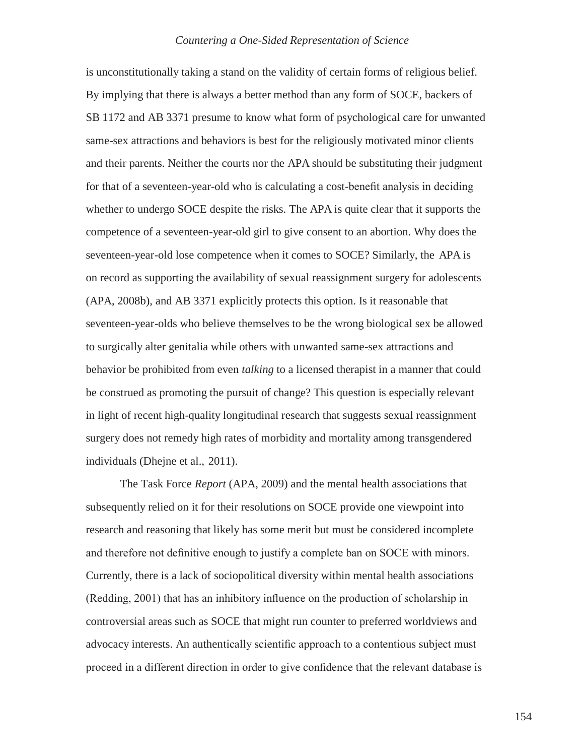is unconstitutionally taking a stand on the validity of certain forms of religious belief. By implying that there is always a better method than any form of SOCE, backers of SB 1172 and AB 3371 presume to know what form of psychological care for unwanted same-sex attractions and behaviors is best for the religiously motivated minor clients and their parents. Neither the courts nor the APA should be substituting their judgment for that of a seventeen-year-old who is calculating a cost-benefit analysis in deciding whether to undergo SOCE despite the risks. The APA is quite clear that it supports the competence of a seventeen-year-old girl to give consent to an abortion. Why does the seventeen-year-old lose competence when it comes to SOCE? Similarly, the APA is on record as supporting the availability of sexual reassignment surgery for adolescents (APA, 2008b), and AB 3371 explicitly protects this option. Is it reasonable that seventeen-year-olds who believe themselves to be the wrong biological sex be allowed to surgically alter genitalia while others with unwanted same-sex attractions and behavior be prohibited from even *talking* to a licensed therapist in a manner that could be construed as promoting the pursuit of change? This question is especially relevant in light of recent high-quality longitudinal research that suggests sexual reassignment surgery does not remedy high rates of morbidity and mortality among transgendered individuals (Dhejne et al., 2011).

The Task Force *Report* (APA, 2009) and the mental health associations that subsequently relied on it for their resolutions on SOCE provide one viewpoint into research and reasoning that likely has some merit but must be considered incomplete and therefore not definitive enough to justify a complete ban on SOCE with minors. Currently, there is a lack of sociopolitical diversity within mental health associations (Redding, 2001) that has an inhibitory influence on the production of scholarship in controversial areas such as SOCE that might run counter to preferred worldviews and advocacy interests. An authentically scientific approach to a contentious subject must proceed in a different direction in order to give confidence that the relevant database is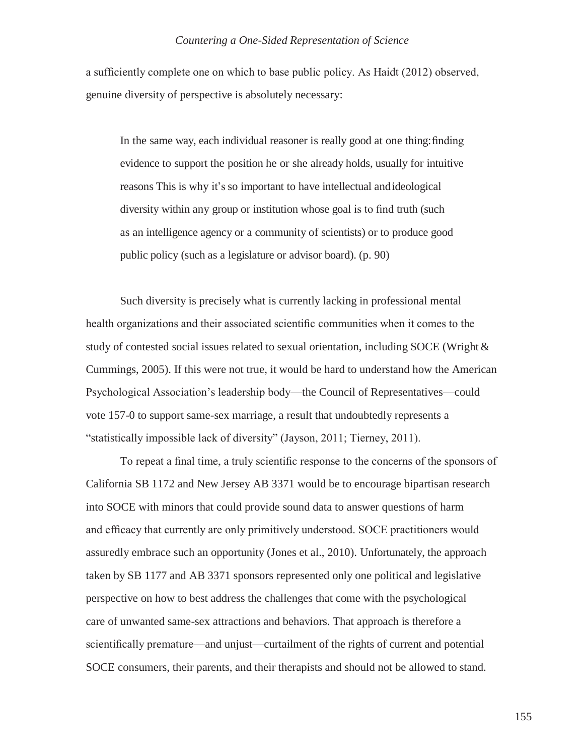a sufficiently complete one on which to base public policy. As Haidt (2012) observed, genuine diversity of perspective is absolutely necessary:

In the same way, each individual reasoner is really good at one thing:finding evidence to support the position he or she already holds, usually for intuitive reasons This is why it's so important to have intellectual andideological diversity within any group or institution whose goal is to find truth (such as an intelligence agency or a community of scientists) or to produce good public policy (such as a legislature or advisor board). (p. 90)

Such diversity is precisely what is currently lacking in professional mental health organizations and their associated scientific communities when it comes to the study of contested social issues related to sexual orientation, including SOCE (Wright & Cummings, 2005). If this were not true, it would be hard to understand how the American Psychological Association's leadership body—the Council of Representatives—could vote 157-0 to support same-sex marriage, a result that undoubtedly represents a "statistically impossible lack of diversity" (Jayson, 2011; Tierney, 2011).

To repeat a final time, a truly scientific response to the concerns of the sponsors of California SB 1172 and New Jersey AB 3371 would be to encourage bipartisan research into SOCE with minors that could provide sound data to answer questions of harm and efficacy that currently are only primitively understood. SOCE practitioners would assuredly embrace such an opportunity (Jones et al., 2010). Unfortunately, the approach taken by SB 1177 and AB 3371 sponsors represented only one political and legislative perspective on how to best address the challenges that come with the psychological care of unwanted same-sex attractions and behaviors. That approach is therefore a scientifically premature—and unjust—curtailment of the rights of current and potential SOCE consumers, their parents, and their therapists and should not be allowed to stand.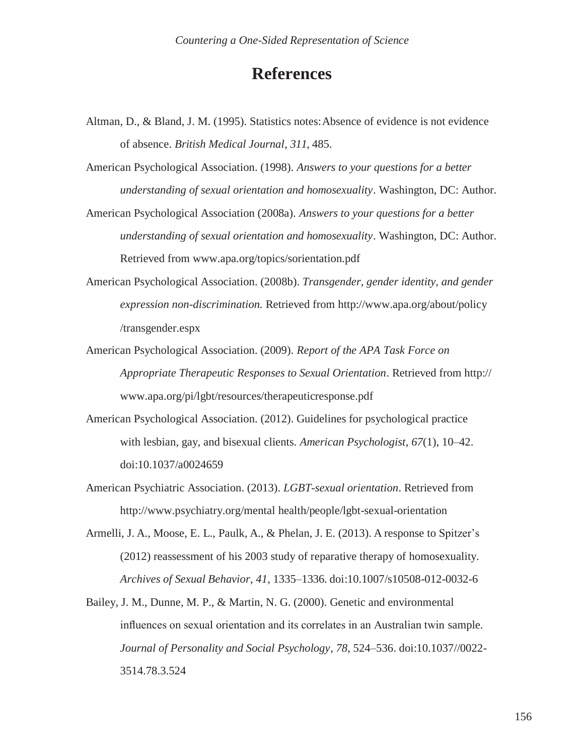## **References**

- Altman, D., & Bland, J. M. (1995). Statistics notes: Absence of evidence is not evidence of absence. *British Medical Journal*, *311*, 485.
- American Psychological Association. (1998). *Answers to your questions for a better understanding of sexual orientation and homosexuality*. Washington, DC: Author.
- American Psychological Association (2008a). *Answers to your questions for a better understanding of sexual orientation and homosexuality*. Washington, DC: Author. Retrieved from [www.apa.org/topics/sorientation.pdf](http://www.apa.org/topics/sorientation.pdf)
- American Psychological Association. (2008b). *Transgender, gender identity, and gender expression non-discrimination.* Retrieved from<http://www.apa.org/about/policy> /transgender.espx
- American Psychological Association. (2009). *Report of the APA Task Force on Appropriate Therapeutic Responses to Sexual Orientation*. Retrieved from http:// [www.apa.org/pi/lgbt/resources/therapeuticresponse.pdf](http://www.apa.org/pi/lgbt/resources/therapeuticresponse.pdf)
- American Psychological Association. (2012). Guidelines for psychological practice with lesbian, gay, and bisexual clients. *American Psychologist*, *67*(1), 10–42. doi:10.1037/a0024659
- American Psychiatric Association. (2013). *LGBT-sexual orientation*. Retrieved from <http://www.psychiatry.org/mental> health/people/lgbt-sexual-orientation
- Armelli, J. A., Moose, E. L., Paulk, A., & Phelan, J. E. (2013). A response to Spitzer's (2012) reassessment of his 2003 study of reparative therapy of homosexuality. *Archives of Sexual Behavior*, *41*, 1335–1336*.* doi:10.1007/s10508-012-0032-6
- Bailey, J. M., Dunne, M. P., & Martin, N. G. (2000). Genetic and environmental influences on sexual orientation and its correlates in an Australian twin sample. *Journal of Personality and Social Psychology*, *78*, 524–536. doi:10.1037//0022- 3514.78.3.524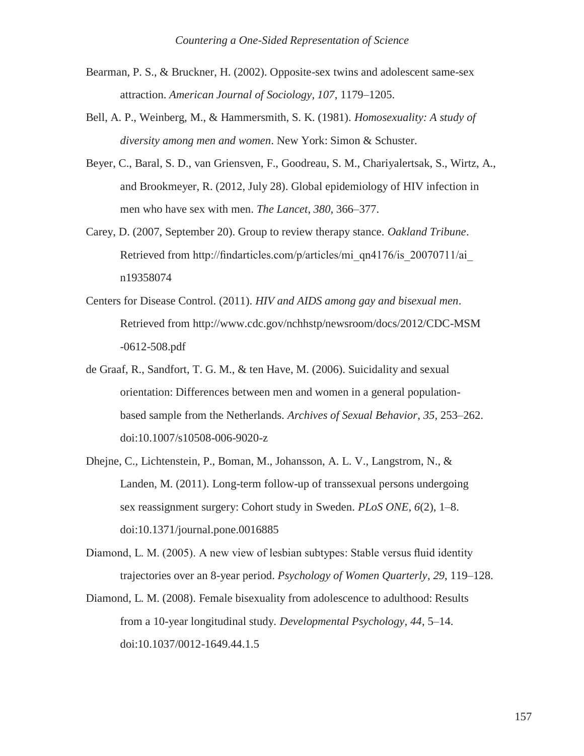- Bearman, P. S., & Bruckner, H. (2002). Opposite-sex twins and adolescent same-sex attraction. *American Journal of Sociology, 107*, 1179–1205.
- Bell, A. P., Weinberg, M., & Hammersmith, S. K. (1981). *Homosexuality: A study of diversity among men and women*. New York: Simon & Schuster.
- Beyer, C., Baral, S. D., van Griensven, F., Goodreau, S. M., Chariyalertsak, S., Wirtz, A., and Brookmeyer, R. (2012, July 28). Global epidemiology of HIV infection in men who have sex with men. *The Lancet*, *380,* 366–377.
- Carey, D. (2007, September 20). Group to review therapy stance. *Oakland Tribune*. Retrieved from [http://findarticles.com/p/articles/mi\\_qn4176/is\\_20070711/ai\\_](http://findarticles.com/p/articles/mi_qn4176/is_20070711/ai_) n19358074
- Centers for Disease Control. (2011). *HIV and AIDS among gay and bisexual men*. Retrieved from<http://www.cdc.gov/nchhstp/newsroom/docs/2012/CDC-MSM> -0612-508.pdf
- de Graaf, R., Sandfort, T. G. M., & ten Have, M. (2006). Suicidality and sexual orientation: Differences between men and women in a general populationbased sample from the Netherlands. *Archives of Sexual Behavior*, *35,* 253–262. doi:10.1007/s10508-006-9020-z
- Dhejne, C., Lichtenstein, P., Boman, M., Johansson, A. L. V., Langstrom, N., & Landen, M. (2011). Long-term follow-up of transsexual persons undergoing sex reassignment surgery: Cohort study in Sweden. *PLoS ONE*, *6*(2), 1–8. doi:10.1371/journal.pone.0016885
- Diamond, L. M. (2005). A new view of lesbian subtypes: Stable versus fluid identity trajectories over an 8-year period. *Psychology of Women Quarterly*, *29*, 119–128.
- Diamond, L. M. (2008). Female bisexuality from adolescence to adulthood: Results from a 10-year longitudinal study. *Developmental Psychology, 44*, 5–14. doi:10.1037/0012-1649.44.1.5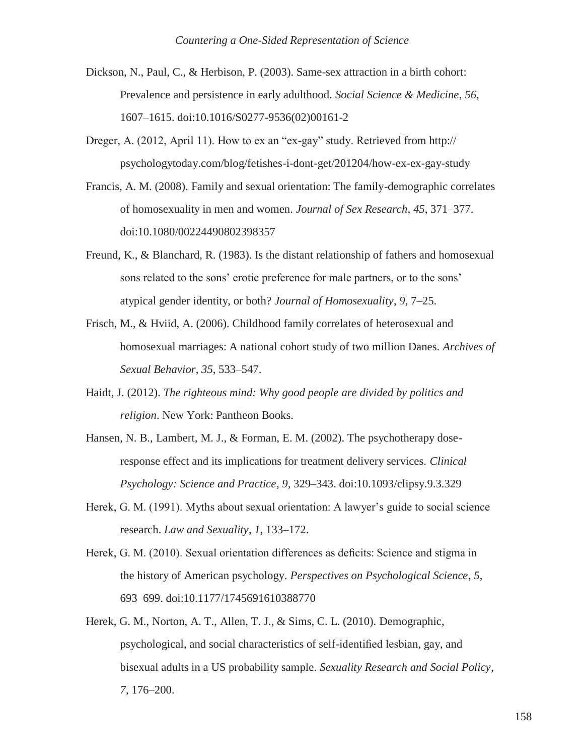- Dickson, N., Paul, C., & Herbison, P. (2003). Same-sex attraction in a birth cohort: Prevalence and persistence in early adulthood. *Social Science & Medicine*, *56*, 1607–1615. doi:10.1016/S0277-9536(02)00161-2
- Dreger, A. (2012, April 11). How to ex an "ex-gay" study. Retrieved from http:// psychologytoday.com/blog/fetishes-i-dont-get/201204/how-ex-ex-gay-study
- Francis, A. M. (2008). Family and sexual orientation: The family-demographic correlates of homosexuality in men and women. *Journal of Sex Research*, *45*, 371–377. doi:10.1080/00224490802398357
- Freund, K., & Blanchard, R. (1983). Is the distant relationship of fathers and homosexual sons related to the sons' erotic preference for male partners, or to the sons' atypical gender identity, or both? *Journal of Homosexuality*, *9*, 7–25.
- Frisch, M., & Hviid, A. (2006). Childhood family correlates of heterosexual and homosexual marriages: A national cohort study of two million Danes. *Archives of Sexual Behavior*, *35*, 533–547.
- Haidt, J. (2012). *The righteous mind: Why good people are divided by politics and religion*. New York: Pantheon Books.
- Hansen, N. B., Lambert, M. J., & Forman, E. M. (2002). The psychotherapy doseresponse effect and its implications for treatment delivery services. *Clinical Psychology: Science and Practice*, *9*, 329–343. doi:10.1093/clipsy.9.3.329
- Herek, G. M. (1991). Myths about sexual orientation: A lawyer's guide to social science research. *Law and Sexuality*, *1*, 133–172.
- Herek, G. M. (2010). Sexual orientation differences as deficits: Science and stigma in the history of American psychology. *Perspectives on Psychological Science*, *5*, 693–699. doi:10.1177/1745691610388770
- Herek, G. M., Norton, A. T., Allen, T. J., & Sims, C. L. (2010). Demographic, psychological, and social characteristics of self-identified lesbian, gay, and bisexual adults in a US probability sample*. Sexuality Research and Social Policy*, *7*, 176–200.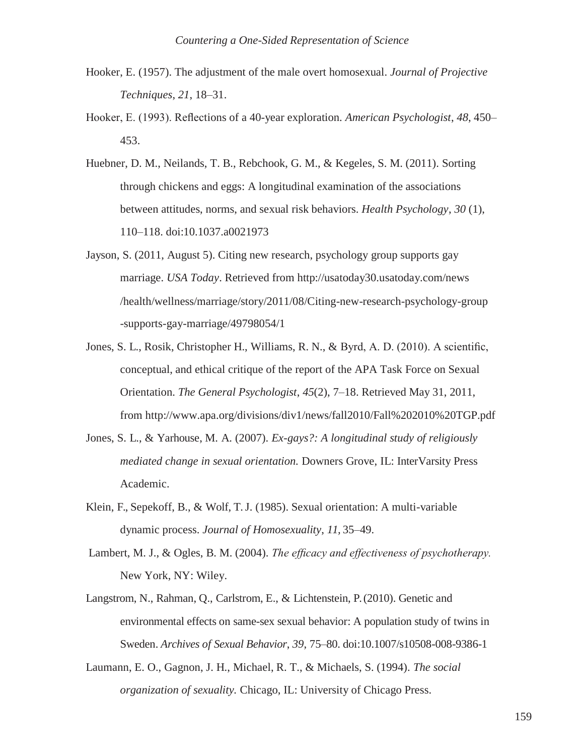- Hooker, E. (1957). The adjustment of the male overt homosexual. *Journal of Projective Techniques*, *21*, 18–31.
- Hooker, E. (1993). Reflections of a 40-year exploration. *American Psychologist*, *48*, 450– 453.
- Huebner, D. M., Neilands, T. B., Rebchook, G. M., & Kegeles, S. M. (2011). Sorting through chickens and eggs: A longitudinal examination of the associations between attitudes, norms, and sexual risk behaviors. *Health Psychology*, *30* (1), 110–118. doi:10.1037.a0021973
- Jayson, S. (2011, August 5). Citing new research, psychology group supports gay marriage. *USA Today*. Retrieved from<http://usatoday30.usatoday.com/news> /health/wellness/marriage/story/2011/08/Citing-new-research-psychology-group -supports-gay-marriage/49798054/1
- Jones, S. L., Rosik, Christopher H., Williams, R. N., & Byrd, A. D. (2010). A scientific, conceptual, and ethical critique of the report of the APA Task Force on Sexual Orientation. *The General Psychologist*, *45*(2), 7–18. Retrieved May 31, 2011, from<http://www.apa.org/divisions/div1/news/fall2010/Fall%202010%20TGP.pdf>
- Jones, S. L., & Yarhouse, M. A. (2007). *Ex-gays?: A longitudinal study of religiously mediated change in sexual orientation.* Downers Grove, IL: InterVarsity Press Academic.
- Klein, F., Sepekoff, B., & Wolf, T. J. (1985). Sexual orientation: A multi-variable dynamic process. *Journal of Homosexuality*, *11,* 35–49.
- Lambert, M. J., & Ogles, B. M. (2004). *The efficacy and effectiveness of psychotherapy.* New York, NY: Wiley.
- Langstrom, N., Rahman, Q., Carlstrom, E., & Lichtenstein, P. (2010). Genetic and environmental effects on same-sex sexual behavior: A population study of twins in Sweden. *Archives of Sexual Behavior*, *39*, 75–80. doi:10.1007/s10508-008-9386-1
- Laumann, E. O., Gagnon, J. H., Michael, R. T., & Michaels, S. (1994). *The social organization of sexuality.* Chicago, IL: University of Chicago Press.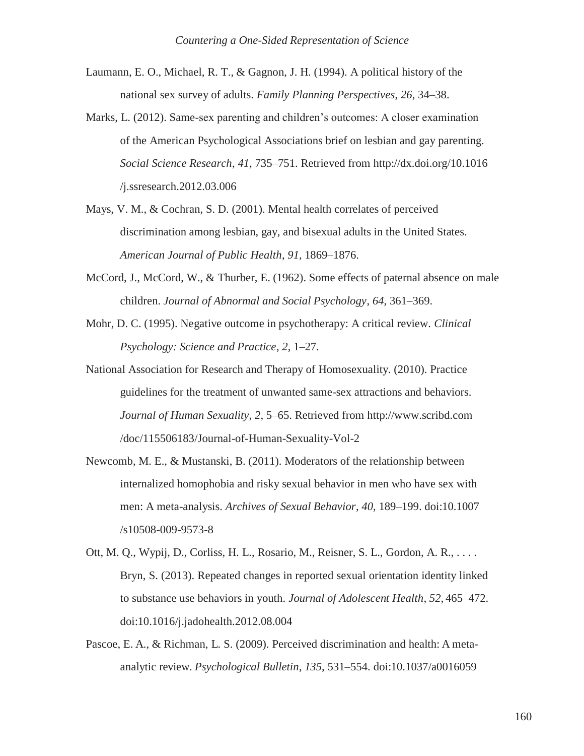- Laumann, E. O., Michael, R. T., & Gagnon, J. H. (1994). A political history of the national sex survey of adults. *Family Planning Perspectives*, *26*, 34–38.
- Marks, L. (2012). Same-sex parenting and children's outcomes: A closer examination of the American Psychological Associations brief on lesbian and gay parenting. *Social Science Research*, *41,* 735–751. Retrieved from<http://dx.doi.org/10.1016> /j.ssresearch.2012.03.006
- Mays, V. M., & Cochran, S. D. (2001). Mental health correlates of perceived discrimination among lesbian, gay, and bisexual adults in the United States. *American Journal of Public Health*, *91*, 1869–1876.
- McCord, J., McCord, W., & Thurber, E. (1962). Some effects of paternal absence on male children. *Journal of Abnormal and Social Psychology*, *64*, 361–369.
- Mohr, D. C. (1995). Negative outcome in psychotherapy: A critical review. *Clinical Psychology: Science and Practice*, *2*, 1–27.
- National Association for Research and Therapy of Homosexuality. (2010). Practice guidelines for the treatment of unwanted same-sex attractions and behaviors. *Journal of Human Sexuality*, *2*, 5–65. Retrieved from [http://www.scribd.com](http://www.scribd.com/) /doc/115506183/Journal-of-Human-Sexuality-Vol-2
- Newcomb, M. E., & Mustanski, B. (2011). Moderators of the relationship between internalized homophobia and risky sexual behavior in men who have sex with men: A meta-analysis. *Archives of Sexual Behavior*, *40*, 189–199. doi:10.1007 /s10508-009-9573-8
- Ott, M. Q., Wypij, D., Corliss, H. L., Rosario, M., Reisner, S. L., Gordon, A. R., . . . . Bryn, S. (2013). Repeated changes in reported sexual orientation identity linked to substance use behaviors in youth. *Journal of Adolescent Health*, *52*, 465–472. doi:10.1016/j.jadohealth.2012.08.004
- Pascoe, E. A., & Richman, L. S. (2009). Perceived discrimination and health: A metaanalytic review. *Psychological Bulletin*, *135*, 531–554. doi:10.1037/a0016059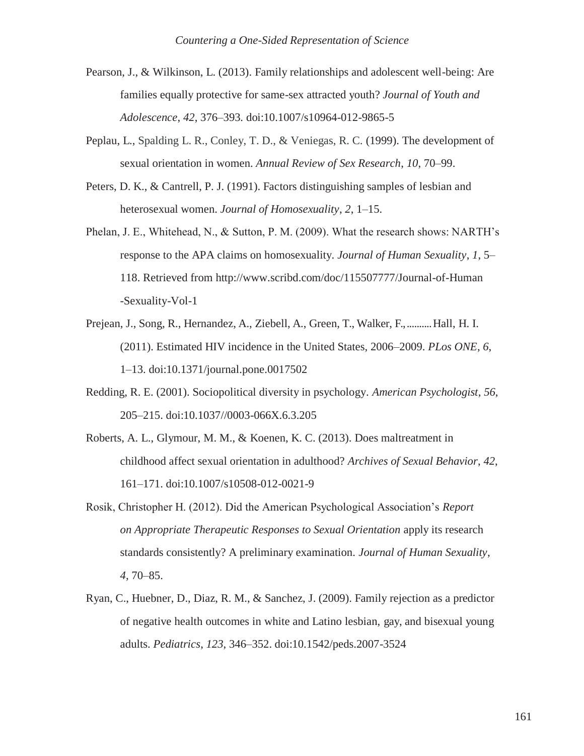- Pearson, J., & Wilkinson, L. (2013). Family relationships and adolescent well-being: Are families equally protective for same-sex attracted youth? *Journal of Youth and Adolescence*, *42*, 376–393*.* doi:10.1007/s10964-012-9865-5
- Peplau, L., Spalding L. R., Conley, T. D., & Veniegas, R. C. (1999). The development of sexual orientation in women. *Annual Review of Sex Research*, *10*, 70–99.
- Peters, D. K., & Cantrell, P. J. (1991). Factors distinguishing samples of lesbian and heterosexual women. *Journal of Homosexuality*, *2*, 1–15.
- Phelan, J. E., Whitehead, N., & Sutton, P. M. (2009). What the research shows: NARTH's response to the APA claims on homosexuality. *Journal of Human Sexuality*, *1*, 5– 118. Retrieved from<http://www.scribd.com/doc/115507777/Journal-of-Human> -Sexuality-Vol-1
- Prejean, J., Song, R., Hernandez, A., Ziebell, A., Green, T., Walker, F., .......... Hall, H. I. (2011). Estimated HIV incidence in the United States, 2006–2009. *PLos ONE*, *6*, 1–13. doi:10.1371/journal.pone.0017502
- Redding, R. E. (2001). Sociopolitical diversity in psychology. *American Psychologist*, *56*, 205–215. doi:10.1037//0003-066X.6.3.205
- Roberts, A. L., Glymour, M. M., & Koenen, K. C. (2013). Does maltreatment in childhood affect sexual orientation in adulthood? *Archives of Sexual Behavior*, *42*, 161–171. doi:10.1007/s10508-012-0021-9
- Rosik, Christopher H. (2012). Did the American Psychological Association's *Report on Appropriate Therapeutic Responses to Sexual Orientation* apply its research standards consistently? A preliminary examination. *Journal of Human Sexuality*, *4*, 70–85.
- Ryan, C., Huebner, D., Diaz, R. M., & Sanchez, J. (2009). Family rejection as a predictor of negative health outcomes in white and Latino lesbian, gay, and bisexual young adults. *Pediatrics*, *123*, 346–352. doi:10.1542/peds.2007-3524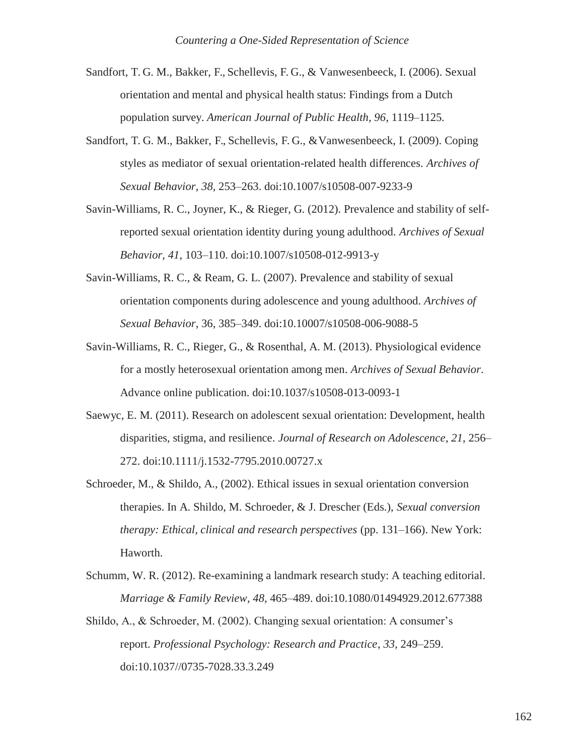- Sandfort, T. G. M., Bakker, F., Schellevis, F. G., & Vanwesenbeeck, I. (2006). Sexual orientation and mental and physical health status: Findings from a Dutch population survey. *American Journal of Public Health, 96*, 1119–1125.
- Sandfort, T. G. M., Bakker, F., Schellevis, F. G., &Vanwesenbeeck, I. (2009). Coping styles as mediator of sexual orientation-related health differences. *Archives of Sexual Behavior*, *38*, 253–263. doi:10.1007/s10508-007-9233-9
- Savin-Williams, R. C., Joyner, K., & Rieger, G. (2012). Prevalence and stability of selfreported sexual orientation identity during young adulthood. *Archives of Sexual Behavior*, *41*, 103–110. doi:10.1007/s10508-012-9913-y
- Savin-Williams, R. C., & Ream, G. L. (2007). Prevalence and stability of sexual orientation components during adolescence and young adulthood. *Archives of Sexual Behavior*, 36, 385–349. doi:10.10007/s10508-006-9088-5
- Savin-Williams, R. C., Rieger, G., & Rosenthal, A. M. (2013). Physiological evidence for a mostly heterosexual orientation among men. *Archives of Sexual Behavior*. Advance online publication. doi:10.1037/s10508-013-0093-1
- Saewyc, E. M. (2011). Research on adolescent sexual orientation: Development, health disparities, stigma, and resilience. *Journal of Research on Adolescence*, *21*, 256– 272. doi:10.1111/j.1532-7795.2010.00727.x
- Schroeder, M., & Shildo, A., (2002). Ethical issues in sexual orientation conversion therapies. In A. Shildo, M. Schroeder, & J. Drescher (Eds.), *Sexual conversion therapy: Ethical, clinical and research perspectives* (pp. 131–166). New York: Haworth.
- Schumm, W. R. (2012). Re-examining a landmark research study: A teaching editorial. *Marriage & Family Review*, *48*, 465–489. doi:10.1080/01494929.2012.677388
- Shildo, A., & Schroeder, M. (2002). Changing sexual orientation: A consumer's report. *Professional Psychology: Research and Practice*, *33*, 249–259. doi:10.1037//0735-7028.33.3.249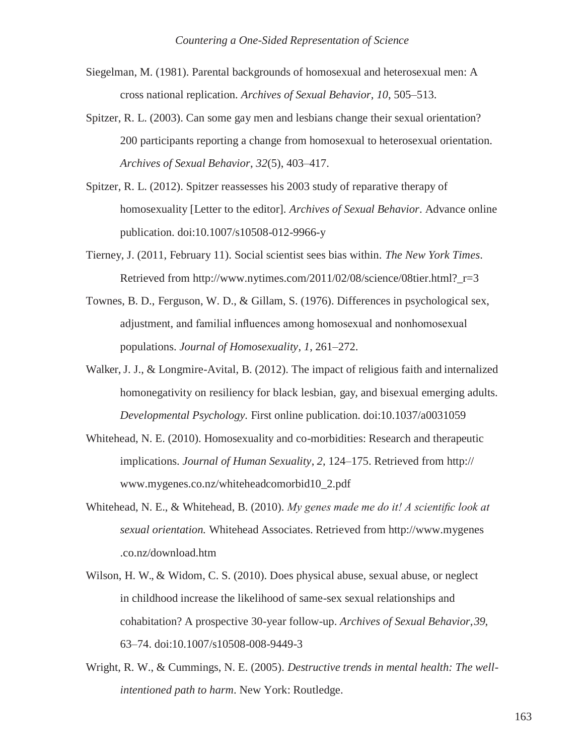- Siegelman, M. (1981). Parental backgrounds of homosexual and heterosexual men: A cross national replication. *Archives of Sexual Behavior*, *10*, 505–513.
- Spitzer, R. L. (2003). Can some gay men and lesbians change their sexual orientation? 200 participants reporting a change from homosexual to heterosexual orientation. *Archives of Sexual Behavior*, *32*(5), 403–417.
- Spitzer, R. L. (2012). Spitzer reassesses his 2003 study of reparative therapy of homosexuality [Letter to the editor]. *Archives of Sexual Behavior*. Advance online publication. doi:10.1007/s10508-012-9966-y
- Tierney, J. (2011, February 11). Social scientist sees bias within. *The New York Times*. Retrieved from [http://www.nytimes.com/2011/02/08/science/08tier.html?\\_r=3](http://www.nytimes.com/2011/02/08/science/08tier.html?_r=3)
- Townes, B. D., Ferguson, W. D., & Gillam, S. (1976). Differences in psychological sex, adjustment, and familial influences among homosexual and nonhomosexual populations. *Journal of Homosexuality*, *1*, 261–272.
- Walker, J. J., & Longmire-Avital, B. (2012). The impact of religious faith and internalized homonegativity on resiliency for black lesbian, gay, and bisexual emerging adults. *Developmental Psychology.* First online publication. doi:10.1037/a0031059
- Whitehead, N. E. (2010). Homosexuality and co-morbidities: Research and therapeutic implications. *Journal of Human Sexuality*, *2*, 124–175. Retrieved from http:// [www.mygenes.co.nz/whiteheadcomorbid10\\_2.pdf](http://www.mygenes.co.nz/whiteheadcomorbid10_2.pdf)
- Whitehead, N. E., & Whitehead, B. (2010). *My genes made me do it! A scientific look at sexual orientation.* Whitehead Associates. Retrieved from http://www.mygenes .co.nz/download.htm
- Wilson, H. W., & Widom, C. S. (2010). Does physical abuse, sexual abuse, or neglect in childhood increase the likelihood of same-sex sexual relationships and cohabitation? A prospective 30-year follow-up. *Archives of Sexual Behavior*,*39*, 63–74. doi:10.1007/s10508-008-9449-3
- Wright, R. W., & Cummings, N. E. (2005). *Destructive trends in mental health: The wellintentioned path to harm*. New York: Routledge.